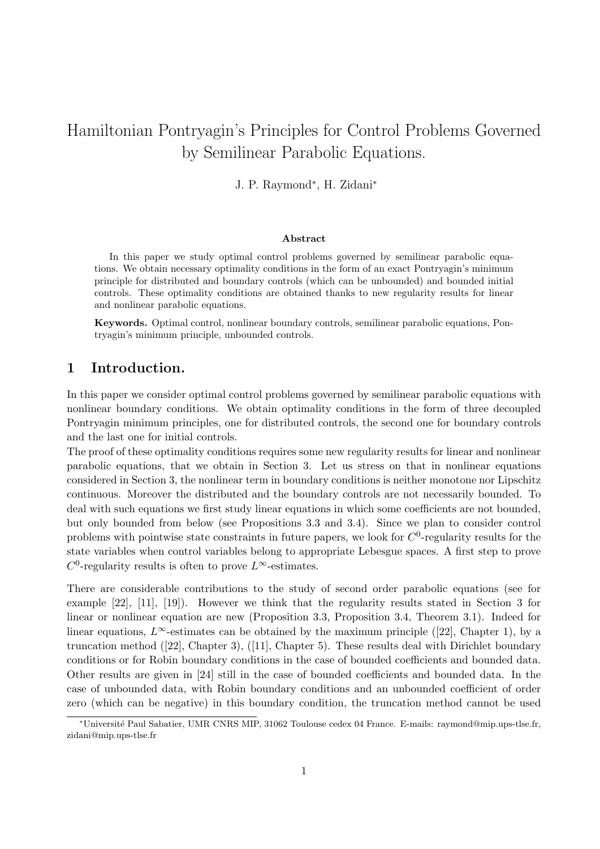# Hamiltonian Pontryagin's Principles for Control Problems Governed by Semilinear Parabolic Equations.

J. P. Raymond<sup>∗</sup> , H. Zidani<sup>∗</sup>

#### Abstract

In this paper we study optimal control problems governed by semilinear parabolic equations. We obtain necessary optimality conditions in the form of an exact Pontryagin's minimum principle for distributed and boundary controls (which can be unbounded) and bounded initial controls. These optimality conditions are obtained thanks to new regularity results for linear and nonlinear parabolic equations.

Keywords. Optimal control, nonlinear boundary controls, semilinear parabolic equations, Pontryagin's minimum principle, unbounded controls.

## 1 Introduction.

In this paper we consider optimal control problems governed by semilinear parabolic equations with nonlinear boundary conditions. We obtain optimality conditions in the form of three decoupled Pontryagin minimum principles, one for distributed controls, the second one for boundary controls and the last one for initial controls.

The proof of these optimality conditions requires some new regularity results for linear and nonlinear parabolic equations, that we obtain in Section 3. Let us stress on that in nonlinear equations considered in Section 3, the nonlinear term in boundary conditions is neither monotone nor Lipschitz continuous. Moreover the distributed and the boundary controls are not necessarily bounded. To deal with such equations we first study linear equations in which some coefficients are not bounded, but only bounded from below (see Propositions 3.3 and 3.4). Since we plan to consider control problems with pointwise state constraints in future papers, we look for  $C^0$ -regularity results for the state variables when control variables belong to appropriate Lebesgue spaces. A first step to prove  $C^0$ -regularity results is often to prove  $L^{\infty}$ -estimates.

There are considerable contributions to the study of second order parabolic equations (see for example [22], [11], [19]). However we think that the regularity results stated in Section 3 for linear or nonlinear equation are new (Proposition 3.3, Proposition 3.4, Theorem 3.1). Indeed for linear equations,  $L^{\infty}$ -estimates can be obtained by the maximum principle ([22], Chapter 1), by a truncation method ([22], Chapter 3), ([11], Chapter 5). These results deal with Dirichlet boundary conditions or for Robin boundary conditions in the case of bounded coefficients and bounded data. Other results are given in [24] still in the case of bounded coefficients and bounded data. In the case of unbounded data, with Robin boundary conditions and an unbounded coefficient of order zero (which can be negative) in this boundary condition, the truncation method cannot be used

<sup>∗</sup>Universit´e Paul Sabatier, UMR CNRS MIP, 31062 Toulouse cedex 04 France. E-mails: raymond@mip.ups-tlse.fr, zidani@mip.ups-tlse.fr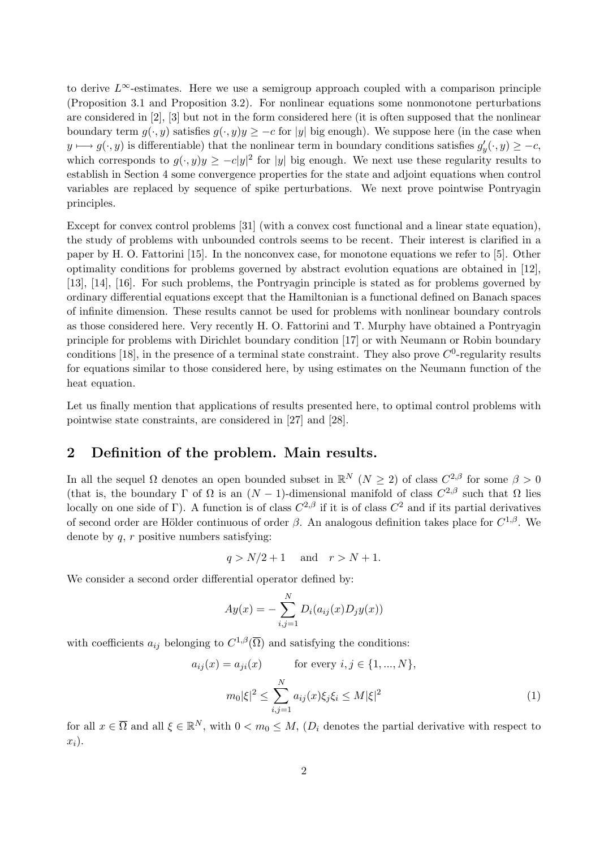to derive  $L^{\infty}$ -estimates. Here we use a semigroup approach coupled with a comparison principle (Proposition 3.1 and Proposition 3.2). For nonlinear equations some nonmonotone perturbations are considered in [2], [3] but not in the form considered here (it is often supposed that the nonlinear boundary term  $g(\cdot, y)$  satisfies  $g(\cdot, y)y \geq -c$  for |y| big enough). We suppose here (in the case when  $y \longmapsto g(\cdot, y)$  is differentiable) that the nonlinear term in boundary conditions satisfies  $g'_y(\cdot, y) \geq -c$ , which corresponds to  $g(\cdot, y)y \geq -c|y|^2$  for |y| big enough. We next use these regularity results to establish in Section 4 some convergence properties for the state and adjoint equations when control variables are replaced by sequence of spike perturbations. We next prove pointwise Pontryagin principles.

Except for convex control problems [31] (with a convex cost functional and a linear state equation), the study of problems with unbounded controls seems to be recent. Their interest is clarified in a paper by H. O. Fattorini [15]. In the nonconvex case, for monotone equations we refer to [5]. Other optimality conditions for problems governed by abstract evolution equations are obtained in [12], [13], [14], [16]. For such problems, the Pontryagin principle is stated as for problems governed by ordinary differential equations except that the Hamiltonian is a functional defined on Banach spaces of infinite dimension. These results cannot be used for problems with nonlinear boundary controls as those considered here. Very recently H. O. Fattorini and T. Murphy have obtained a Pontryagin principle for problems with Dirichlet boundary condition [17] or with Neumann or Robin boundary conditions [18], in the presence of a terminal state constraint. They also prove  $C^0$ -regularity results for equations similar to those considered here, by using estimates on the Neumann function of the heat equation.

Let us finally mention that applications of results presented here, to optimal control problems with pointwise state constraints, are considered in [27] and [28].

# 2 Definition of the problem. Main results.

In all the sequel  $\Omega$  denotes an open bounded subset in  $\mathbb{R}^N$   $(N \geq 2)$  of class  $C^{2,\beta}$  for some  $\beta > 0$ (that is, the boundary  $\Gamma$  of  $\Omega$  is an  $(N-1)$ -dimensional manifold of class  $C^{2,\beta}$  such that  $\Omega$  lies locally on one side of Γ). A function is of class  $C^{2,\beta}$  if it is of class  $C^2$  and if its partial derivatives of second order are Hölder continuous of order  $\beta$ . An analogous definition takes place for  $C^{1,\beta}$ . We denote by  $q, r$  positive numbers satisfying:

$$
q > N/2 + 1 \quad \text{and} \quad r > N + 1.
$$

We consider a second order differential operator defined by:

$$
Ay(x) = -\sum_{i,j=1}^{N} D_i(a_{ij}(x)D_jy(x))
$$

with coefficients  $a_{ij}$  belonging to  $C^{1,\beta}(\overline{\Omega})$  and satisfying the conditions:

$$
a_{ij}(x) = a_{ji}(x) \quad \text{for every } i, j \in \{1, ..., N\},
$$

$$
m_0|\xi|^2 \le \sum_{i,j=1}^N a_{ij}(x)\xi_j\xi_i \le M|\xi|^2 \tag{1}
$$

for all  $x \in \overline{\Omega}$  and all  $\xi \in \mathbb{R}^N$ , with  $0 < m_0 \leq M$ ,  $(D_i$  denotes the partial derivative with respect to  $x_i$ ).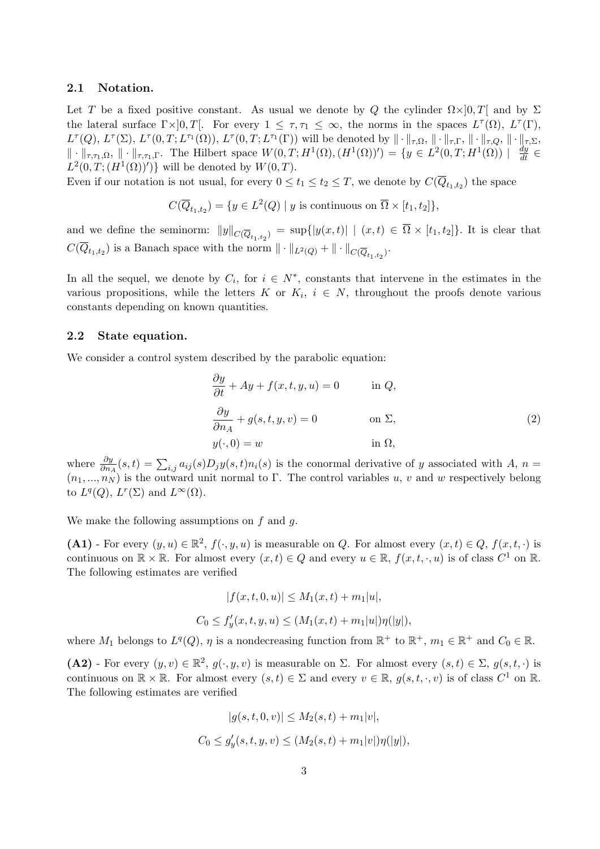#### 2.1 Notation.

Let T be a fixed positive constant. As usual we denote by Q the cylinder  $\Omega \times ]0,T[$  and by  $\Sigma$ the lateral surface  $\Gamma \times ]0, T[$ . For every  $1 \leq \tau, \tau_1 \leq \infty$ , the norms in the spaces  $L^{\tau}(\Omega)$ ,  $L^{\tau}(\Gamma)$ ,  $L^{\tau}(Q), L^{\tau}(\Sigma), L^{\tau}(0,T;L^{\tau_1}(\Omega)), L^{\tau}(0,T;L^{\tau_1}(\Gamma))$  will be denoted by  $\|\cdot\|_{\tau,\Omega}, \|\cdot\|_{\tau,\Gamma}, \|\cdot\|_{\tau,Q}, \|\cdot\|_{\tau,\Sigma}$ ,  $\Vert \cdot \Vert_{\tau,\tau_1,\Omega}, \Vert \cdot \Vert_{\tau,\tau_1,\Gamma}.$  The Hilbert space  $W(0,T;H^1(\Omega),(H^1(\Omega))') = \{y \in L^2(0,T;H^1(\Omega)) \mid \frac{dy}{dt} \in$  $L^2(0,T;(H^1(\Omega))')$  will be denoted by  $W(0,T)$ .

Even if our notation is not usual, for every  $0 \le t_1 \le t_2 \le T$ , we denote by  $C(\overline{Q}_{t_1,t_2})$  the space

$$
C(\overline{Q}_{t_1,t_2}) = \{ y \in L^2(Q) \mid y \text{ is continuous on } \overline{\Omega} \times [t_1, t_2] \},
$$

and we define the seminorm:  $||y||_{C(\overline{Q}_{t_1,t_2})} = \sup\{|y(x,t)| | (x,t) \in \Omega \times [t_1,t_2]\}\.$  It is clear that  $C(Q_{t_1,t_2})$  is a Banach space with the norm  $\|\cdot\|_{L^2(Q)} + \|\cdot\|_{C(\overline{Q}_{t_1,t_2})}$ .

In all the sequel, we denote by  $C_i$ , for  $i \in N^*$ , constants that intervene in the estimates in the various propositions, while the letters K or  $K_i$ ,  $i \in N$ , throughout the proofs denote various constants depending on known quantities.

#### 2.2 State equation.

We consider a control system described by the parabolic equation:

$$
\frac{\partial y}{\partial t} + Ay + f(x, t, y, u) = 0 \quad \text{in } Q,
$$
  

$$
\frac{\partial y}{\partial n_A} + g(s, t, y, v) = 0 \quad \text{on } \Sigma,
$$
  

$$
y(\cdot, 0) = w \quad \text{in } \Omega,
$$
 (2)

where  $\frac{\partial y}{\partial n_A}(s,t) = \sum_{i,j} a_{ij}(s) D_j y(s,t) n_i(s)$  is the conormal derivative of y associated with A,  $n =$  $(n_1, ..., n_N)$  is the outward unit normal to Γ. The control variables u, v and w respectively belong to  $L^q(Q)$ ,  $L^r(\Sigma)$  and  $L^{\infty}(\Omega)$ .

We make the following assumptions on  $f$  and  $g$ .

(A1) - For every  $(y, u) \in \mathbb{R}^2$ ,  $f(\cdot, y, u)$  is measurable on Q. For almost every  $(x, t) \in Q$ ,  $f(x, t, \cdot)$  is continuous on  $\mathbb{R} \times \mathbb{R}$ . For almost every  $(x, t) \in Q$  and every  $u \in \mathbb{R}$ ,  $f(x, t, \cdot, u)$  is of class  $C^1$  on  $\mathbb{R}$ . The following estimates are verified

$$
|f(x, t, 0, u)| \le M_1(x, t) + m_1|u|,
$$
  

$$
C_0 \le f'_y(x, t, y, u) \le (M_1(x, t) + m_1|u|)\eta(|y|),
$$

where  $M_1$  belongs to  $L^q(Q)$ ,  $\eta$  is a nondecreasing function from  $\mathbb{R}^+$  to  $\mathbb{R}^+$ ,  $m_1 \in \mathbb{R}^+$  and  $C_0 \in \mathbb{R}$ .

(A2) - For every  $(y, v) \in \mathbb{R}^2$ ,  $g(\cdot, y, v)$  is measurable on  $\Sigma$ . For almost every  $(s, t) \in \Sigma$ ,  $g(s, t, \cdot)$  is continuous on  $\mathbb{R} \times \mathbb{R}$ . For almost every  $(s,t) \in \Sigma$  and every  $v \in \mathbb{R}$ ,  $g(s,t,\cdot,v)$  is of class  $C^1$  on  $\mathbb{R}$ . The following estimates are verified

$$
|g(s, t, 0, v)| \le M_2(s, t) + m_1|v|,
$$
  

$$
C_0 \le g'_y(s, t, y, v) \le (M_2(s, t) + m_1|v|)\eta(|y|),
$$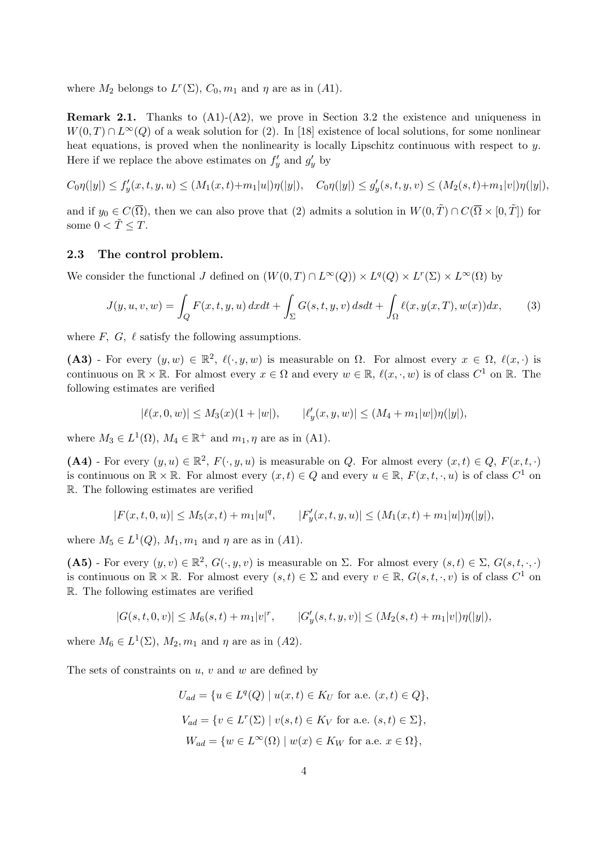where  $M_2$  belongs to  $L^r(\Sigma)$ ,  $C_0, m_1$  and  $\eta$  are as in (A1).

**Remark 2.1.** Thanks to  $(A1)-(A2)$ , we prove in Section 3.2 the existence and uniqueness in  $W(0,T) \cap L^{\infty}(Q)$  of a weak solution for (2). In [18] existence of local solutions, for some nonlinear heat equations, is proved when the nonlinearity is locally Lipschitz continuous with respect to y. Here if we replace the above estimates on  $f'_y$  and  $g'_y$  by

$$
C_0\eta(|y|) \le f'_y(x,t,y,u) \le (M_1(x,t)+m_1|u|)\eta(|y|), \quad C_0\eta(|y|) \le g'_y(s,t,y,v) \le (M_2(s,t)+m_1|v|)\eta(|y|),
$$

and if  $y_0 \in C(\overline{\Omega})$ , then we can also prove that (2) admits a solution in  $W(0, \tilde{T}) \cap C(\overline{\Omega} \times [0, \tilde{T}])$  for some  $0 < \tilde{T} \leq T$ .

#### 2.3 The control problem.

We consider the functional J defined on  $(W(0,T) \cap L^{\infty}(Q)) \times L^{q}(Q) \times L^{r}(\Sigma) \times L^{\infty}(\Omega)$  by

$$
J(y, u, v, w) = \int_{Q} F(x, t, y, u) dx dt + \int_{\Sigma} G(s, t, y, v) ds dt + \int_{\Omega} \ell(x, y(x, T), w(x)) dx,
$$
 (3)

where  $F$ ,  $G$ ,  $\ell$  satisfy the following assumptions.

(A3) - For every  $(y, w) \in \mathbb{R}^2$ ,  $\ell(\cdot, y, w)$  is measurable on  $\Omega$ . For almost every  $x \in \Omega$ ,  $\ell(x, \cdot)$  is continuous on  $\mathbb{R} \times \mathbb{R}$ . For almost every  $x \in \Omega$  and every  $w \in \mathbb{R}$ ,  $\ell(x, \cdot, w)$  is of class  $C^1$  on  $\mathbb{R}$ . The following estimates are verified

$$
|\ell(x,0,w)| \le M_3(x)(1+|w|), \qquad |\ell'_y(x,y,w)| \le (M_4+m_1|w|)\eta(|y|),
$$

where  $M_3 \in L^1(\Omega)$ ,  $M_4 \in \mathbb{R}^+$  and  $m_1, \eta$  are as in (A1).

(A4) - For every  $(y, u) \in \mathbb{R}^2$ ,  $F(\cdot, y, u)$  is measurable on Q. For almost every  $(x, t) \in Q$ ,  $F(x, t, \cdot)$ is continuous on  $\mathbb{R} \times \mathbb{R}$ . For almost every  $(x, t) \in Q$  and every  $u \in \mathbb{R}$ ,  $F(x, t, \cdot, u)$  is of class  $C^1$  on R. The following estimates are verified

$$
|F(x,t,0,u)|\leq M_5(x,t)+m_1|u|^q,\qquad |F'_y(x,t,y,u)|\leq (M_1(x,t)+m_1|u|)\eta(|y|),
$$

where  $M_5 \in L^1(Q)$ ,  $M_1, m_1$  and  $\eta$  are as in (A1).

(A5) - For every  $(y, v) \in \mathbb{R}^2$ ,  $G(\cdot, y, v)$  is measurable on  $\Sigma$ . For almost every  $(s, t) \in \Sigma$ ,  $G(s, t, \cdot, \cdot)$ is continuous on  $\mathbb{R} \times \mathbb{R}$ . For almost every  $(s,t) \in \Sigma$  and every  $v \in \mathbb{R}$ ,  $G(s,t,\cdot,v)$  is of class  $C^1$  on R. The following estimates are verified

$$
|G(s,t,0,v)|\leq M_6(s,t)+m_1|v|^r, \qquad |G'_y(s,t,y,v)|\leq (M_2(s,t)+m_1|v|)\eta(|y|),
$$

where  $M_6 \in L^1(\Sigma)$ ,  $M_2, m_1$  and  $\eta$  are as in  $(A2)$ .

The sets of constraints on  $u, v$  and  $w$  are defined by

$$
U_{ad} = \{ u \in L^{q}(Q) \mid u(x,t) \in K_U \text{ for a.e. } (x,t) \in Q \},
$$
  
\n
$$
V_{ad} = \{ v \in L^{r}(\Sigma) \mid v(s,t) \in K_V \text{ for a.e. } (s,t) \in \Sigma \},
$$
  
\n
$$
W_{ad} = \{ w \in L^{\infty}(\Omega) \mid w(x) \in K_W \text{ for a.e. } x \in \Omega \},
$$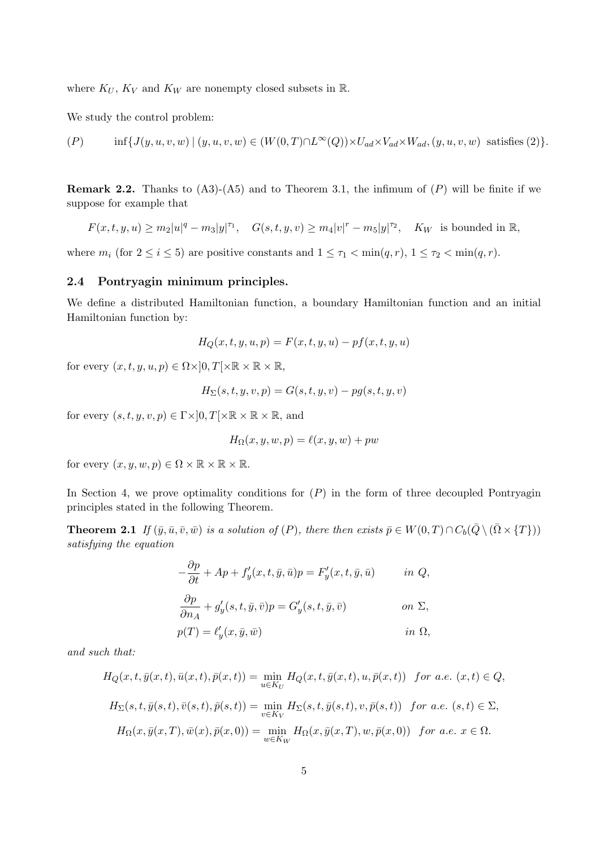where  $K_U$ ,  $K_V$  and  $K_W$  are nonempty closed subsets in  $\mathbb{R}$ .

We study the control problem:

$$
(P) \qquad \inf\{J(y,u,v,w)\mid (y,u,v,w)\in (W(0,T)\cap L^{\infty}(Q))\times U_{ad}\times V_{ad}\times W_{ad}, (y,u,v,w) \text{ satisfies (2)}\}.
$$

**Remark 2.2.** Thanks to  $(A3)-(A5)$  and to Theorem 3.1, the infimum of  $(P)$  will be finite if we suppose for example that

 $F(x,t,y,u) \geq m_2|u|^q - m_3|y|^{\tau_1}, \quad G(s,t,y,v) \geq m_4|v|^r - m_5|y|^{\tau_2}, \quad K_W$  is bounded in R,

where  $m_i$  (for  $2 \le i \le 5$ ) are positive constants and  $1 \le \tau_1 < \min(q, r)$ ,  $1 \le \tau_2 < \min(q, r)$ .

#### 2.4 Pontryagin minimum principles.

We define a distributed Hamiltonian function, a boundary Hamiltonian function and an initial Hamiltonian function by:

$$
H_Q(x, t, y, u, p) = F(x, t, y, u) - pf(x, t, y, u)
$$

for every  $(x, t, y, u, p) \in \Omega \times ]0, T[ \times \mathbb{R} \times \mathbb{R} \times \mathbb{R},$ 

$$
H_{\Sigma}(s,t,y,v,p) = G(s,t,y,v) - pg(s,t,y,v)
$$

for every  $(s, t, y, v, p) \in \Gamma \times ]0, T[ \times \mathbb{R} \times \mathbb{R} \times \mathbb{R}$ , and

$$
H_{\Omega}(x, y, w, p) = \ell(x, y, w) + pw
$$

for every  $(x, y, w, p) \in \Omega \times \mathbb{R} \times \mathbb{R} \times \mathbb{R}$ .

In Section 4, we prove optimality conditions for  $(P)$  in the form of three decoupled Pontryagin principles stated in the following Theorem.

**Theorem 2.1** If  $(\bar{y}, \bar{u}, \bar{v}, \bar{w})$  is a solution of  $(P)$ , there then exists  $\bar{p} \in W(0, T) \cap C_b(\bar{Q} \setminus (\bar{\Omega} \times \{T\}))$ satisfying the equation

$$
-\frac{\partial p}{\partial t} + Ap + f'_y(x, t, \bar{y}, \bar{u})p = F'_y(x, t, \bar{y}, \bar{u}) \t in Q,
$$
  

$$
\frac{\partial p}{\partial n_A} + g'_y(s, t, \bar{y}, \bar{v})p = G'_y(s, t, \bar{y}, \bar{v}) \t on \Sigma,
$$
  

$$
p(T) = \ell'_y(x, \bar{y}, \bar{w}) \t in \Omega,
$$

and such that:

$$
H_Q(x, t, \bar{y}(x, t), \bar{u}(x, t), \bar{p}(x, t)) = \min_{u \in K_U} H_Q(x, t, \bar{y}(x, t), u, \bar{p}(x, t)) \text{ for a.e. } (x, t) \in Q,
$$
  
\n
$$
H_\Sigma(s, t, \bar{y}(s, t), \bar{v}(s, t), \bar{p}(s, t)) = \min_{v \in K_V} H_\Sigma(s, t, \bar{y}(s, t), v, \bar{p}(s, t)) \text{ for a.e. } (s, t) \in \Sigma,
$$
  
\n
$$
H_\Omega(x, \bar{y}(x, T), \bar{w}(x), \bar{p}(x, 0)) = \min_{w \in K_W} H_\Omega(x, \bar{y}(x, T), w, \bar{p}(x, 0)) \text{ for a.e. } x \in \Omega.
$$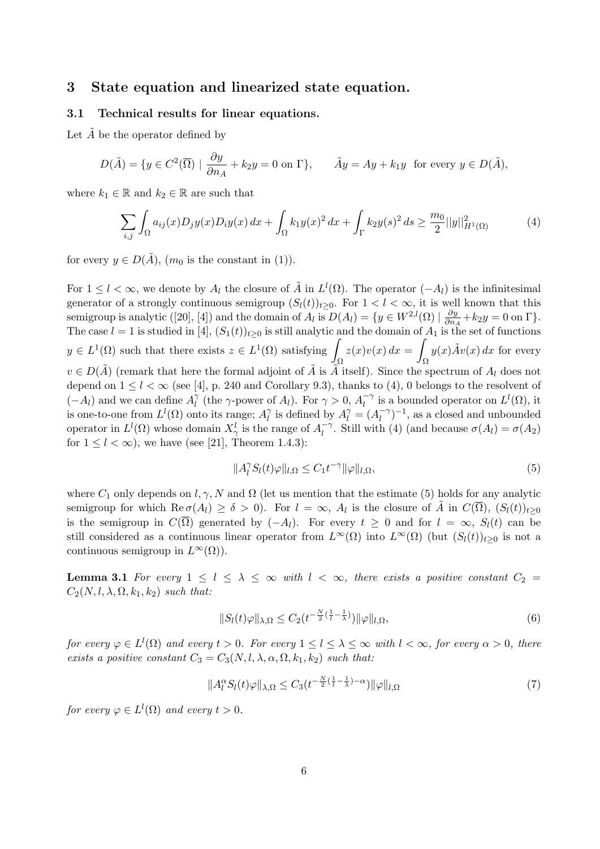# 3 State equation and linearized state equation.

#### 3.1 Technical results for linear equations.

Let  $\overline{A}$  be the operator defined by

$$
D(\tilde{A}) = \{ y \in C^2(\overline{\Omega}) \mid \frac{\partial y}{\partial n_A} + k_2 y = 0 \text{ on } \Gamma \}, \qquad \tilde{A}y = Ay + k_1 y \text{ for every } y \in D(\tilde{A}),
$$

where  $k_1 \in \mathbb{R}$  and  $k_2 \in \mathbb{R}$  are such that

$$
\sum_{i,j} \int_{\Omega} a_{ij}(x) D_j y(x) D_i y(x) dx + \int_{\Omega} k_1 y(x)^2 dx + \int_{\Gamma} k_2 y(s)^2 ds \ge \frac{m_0}{2} ||y||_{H^1(\Omega)}^2
$$
 (4)

for every  $y \in D(\tilde{A}), (m_0 \text{ is the constant in } (1)).$ 

For  $1 \leq l < \infty$ , we denote by  $A_l$  the closure of  $\tilde{A}$  in  $L^l(\Omega)$ . The operator  $(-A_l)$  is the infinitesimal generator of a strongly continuous semigroup  $(S_l(t))_{t\geq 0}$ . For  $1 < l < \infty$ , it is well known that this semigroup is analytic ([20], [4]) and the domain of  $A_l$  is  $D(A_l) = \{y \in W^{2,l}(\Omega) \mid \frac{\partial y}{\partial n}\}$  $\frac{\partial y}{\partial n_A} + k_2 y = 0$  on  $\Gamma$ . The case  $l = 1$  is studied in [4],  $(S_1(t))_{t \geq 0}$  is still analytic and the domain of  $A_1$  is the set of functions  $y \in L^1(\Omega)$  such that there exists  $z \in L^1(\Omega)$  satisfying Ω  $z(x)v(x) dx =$ Ω  $y(x)\tilde{A}v(x) dx$  for every  $v \in D(\tilde{A})$  (remark that here the formal adjoint of  $\tilde{A}$  is  $\tilde{A}$  itself). Since the spectrum of  $A_l$  does not depend on  $1 \leq l \leq \infty$  (see [4], p. 240 and Corollary 9.3), thanks to (4), 0 belongs to the resolvent of  $(-A_l)$  and we can define  $A_l^{\gamma}$  $\tilde{l}$  (the  $\gamma$ -power of  $A_l$ ). For  $\gamma > 0$ ,  $A_l^{-\gamma}$  $\overline{l}^{\gamma}$  is a bounded operator on  $L^{l}(\Omega)$ , it is one-to-one from  $L^l(\Omega)$  onto its range;  $A_l^{\gamma}$  $\hat{l}$  is defined by  $A_l^{\gamma} = (A_l^{-\gamma})$  $\binom{-\gamma}{l}^{-1}$ , as a closed and unbounded operator in  $L^l(\Omega)$  whose domain  $X^l_{\gamma}$  is the range of  $A_l^{-\gamma}$  $\iota_l^{-\gamma}$ . Still with (4) (and because  $\sigma(A_l) = \sigma(A_2)$ for  $1 \leq l \leq \infty$ ), we have (see [21], Theorem 1.4.3):

$$
||A_l^{\gamma} S_l(t)\varphi||_{l,\Omega} \le C_1 t^{-\gamma} ||\varphi||_{l,\Omega},\tag{5}
$$

where  $C_1$  only depends on  $l, \gamma, N$  and  $\Omega$  (let us mention that the estimate (5) holds for any analytic semigroup for which  $\text{Re}\,\sigma(A_l) \geq \delta > 0$ . For  $l = \infty$ ,  $A_l$  is the closure of  $\tilde{A}$  in  $C(\overline{\Omega})$ ,  $(S_l(t))_{t \geq 0}$ is the semigroup in  $C(\Omega)$  generated by  $(-A_l)$ . For every  $t \geq 0$  and for  $l = \infty$ ,  $S_l(t)$  can be still considered as a continuous linear operator from  $L^{\infty}(\Omega)$  into  $L^{\infty}(\Omega)$  (but  $(S_l(t))_{t>0}$  is not a continuous semigroup in  $L^{\infty}(\Omega)$ .

**Lemma 3.1** For every  $1 \leq l \leq \lambda \leq \infty$  with  $l < \infty$ , there exists a positive constant  $C_2 =$  $C_2(N, l, \lambda, \Omega, k_1, k_2)$  such that:

$$
||S_l(t)\varphi||_{\lambda,\Omega} \le C_2(t^{-\frac{N}{2}(\frac{1}{l}-\frac{1}{\lambda})}) ||\varphi||_{l,\Omega},
$$
\n<sup>(6)</sup>

for every  $\varphi \in L^l(\Omega)$  and every  $t > 0$ . For every  $1 \leq l \leq \lambda \leq \infty$  with  $l < \infty$ , for every  $\alpha > 0$ , there exists a positive constant  $C_3 = C_3(N, l, \lambda, \alpha, \Omega, k_1, k_2)$  such that:

$$
||A_1^{\alpha} S_l(t)\varphi||_{\lambda,\Omega} \leq C_3 \left(t^{-\frac{N}{2}(\frac{1}{l}-\frac{1}{\lambda})-\alpha}) ||\varphi||_{l,\Omega} \tag{7}
$$

for every  $\varphi \in L^l(\Omega)$  and every  $t > 0$ .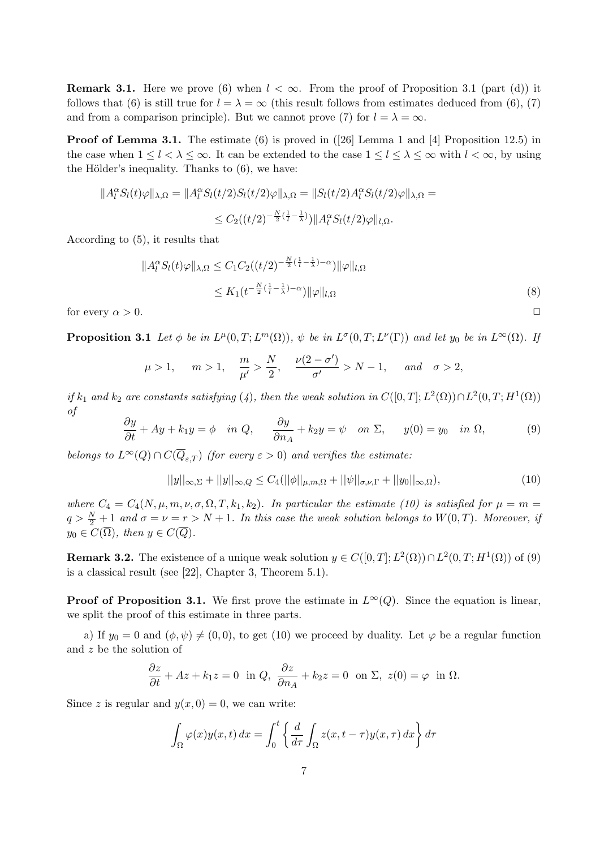**Remark 3.1.** Here we prove (6) when  $l < \infty$ . From the proof of Proposition 3.1 (part (d)) it follows that (6) is still true for  $l = \lambda = \infty$  (this result follows from estimates deduced from (6), (7) and from a comparison principle). But we cannot prove (7) for  $l = \lambda = \infty$ .

**Proof of Lemma 3.1.** The estimate (6) is proved in  $(26)$  Lemma 1 and [4] Proposition 12.5) in the case when  $1 \leq l < \lambda \leq \infty$ . It can be extended to the case  $1 \leq l \leq \lambda \leq \infty$  with  $l < \infty$ , by using the Hölder's inequality. Thanks to  $(6)$ , we have:

$$
||A_l^{\alpha} S_l(t)\varphi||_{\lambda,\Omega} = ||A_l^{\alpha} S_l(t/2) S_l(t/2)\varphi||_{\lambda,\Omega} = ||S_l(t/2) A_l^{\alpha} S_l(t/2)\varphi||_{\lambda,\Omega} =
$$
  

$$
\leq C_2((t/2)^{-\frac{N}{2}(\frac{1}{l}-\frac{1}{\lambda})}) ||A_l^{\alpha} S_l(t/2)\varphi||_{l,\Omega}.
$$

According to (5), it results that

$$
||A_l^{\alpha} S_l(t)\varphi||_{\lambda,\Omega} \le C_1 C_2 \left( (t/2)^{-\frac{N}{2}(\frac{1}{l}-\frac{1}{\lambda})-\alpha} \right) ||\varphi||_{l,\Omega}
$$
  
 
$$
\le K_1 \left( t^{-\frac{N}{2}(\frac{1}{l}-\frac{1}{\lambda})-\alpha} \right) ||\varphi||_{l,\Omega}
$$
 (8)

for every  $\alpha > 0$ .

**Proposition 3.1** Let  $\phi$  be in  $L^{\mu}(0,T;L^m(\Omega))$ ,  $\psi$  be in  $L^{\sigma}(0,T;L^{\nu}(\Gamma))$  and let  $y_0$  be in  $L^{\infty}(\Omega)$ . If

$$
\mu > 1
$$
,  $m > 1$ ,  $\frac{m}{\mu'} > \frac{N}{2}$ ,  $\frac{\nu(2-\sigma')}{\sigma'} > N-1$ , and  $\sigma > 2$ ,

if  $k_1$  and  $k_2$  are constants satisfying (4), then the weak solution in  $C([0,T];L^2(\Omega)) \cap L^2(0,T;H^1(\Omega))$ of

$$
\frac{\partial y}{\partial t} + Ay + k_1 y = \phi \quad in \ Q, \qquad \frac{\partial y}{\partial n_A} + k_2 y = \psi \quad on \ \Sigma, \qquad y(0) = y_0 \quad in \ \Omega,\tag{9}
$$

belongs to  $L^{\infty}(Q) \cap C(\overline{Q}_{\varepsilon,T})$  (for every  $\varepsilon > 0$ ) and verifies the estimate:

$$
||y||_{\infty,\Sigma} + ||y||_{\infty,Q} \le C_4(||\phi||_{\mu,m,\Omega} + ||\psi||_{\sigma,\nu,\Gamma} + ||y_0||_{\infty,\Omega}),
$$
\n(10)

where  $C_4 = C_4(N, \mu, m, \nu, \sigma, \Omega, T, k_1, k_2)$ . In particular the estimate (10) is satisfied for  $\mu = m =$  $q > \frac{N}{2} + 1$  and  $\sigma = \nu = r > N + 1$ . In this case the weak solution belongs to  $W(0,T)$ . Moreover, if  $y_0 \in C(\overline{\Omega})$ , then  $y \in C(\overline{Q})$ .

**Remark 3.2.** The existence of a unique weak solution  $y \in C([0, T]; L^2(\Omega)) \cap L^2(0, T; H^1(\Omega))$  of (9) is a classical result (see [22], Chapter 3, Theorem 5.1).

**Proof of Proposition 3.1.** We first prove the estimate in  $L^{\infty}(Q)$ . Since the equation is linear, we split the proof of this estimate in three parts.

a) If  $y_0 = 0$  and  $(\phi, \psi) \neq (0, 0)$ , to get (10) we proceed by duality. Let  $\varphi$  be a regular function and z be the solution of

$$
\frac{\partial z}{\partial t} + Az + k_1 z = 0 \text{ in } Q, \ \frac{\partial z}{\partial n_A} + k_2 z = 0 \text{ on } \Sigma, \ z(0) = \varphi \text{ in } \Omega.
$$

Since z is regular and  $y(x, 0) = 0$ , we can write:

$$
\int_{\Omega} \varphi(x) y(x, t) dx = \int_0^t \left\{ \frac{d}{d\tau} \int_{\Omega} z(x, t - \tau) y(x, \tau) dx \right\} d\tau
$$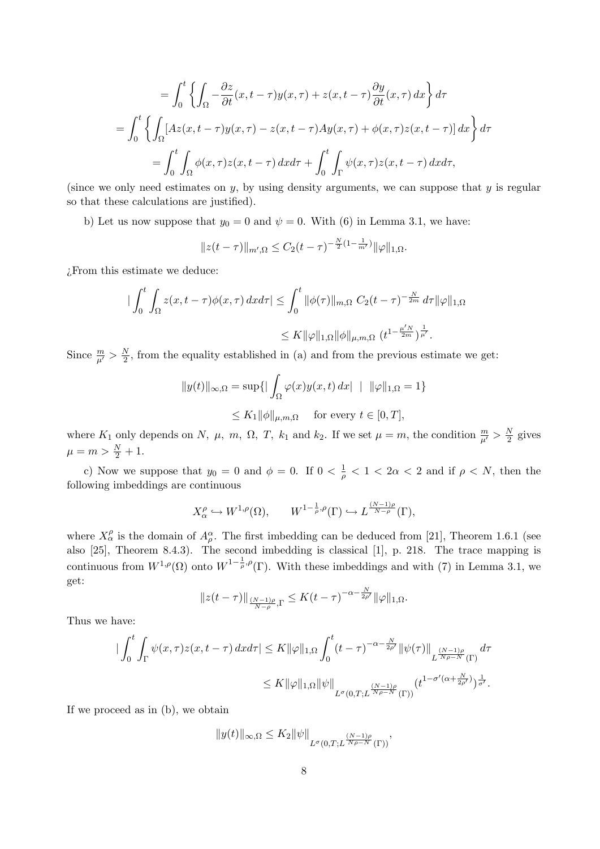$$
= \int_0^t \left\{ \int_{\Omega} -\frac{\partial z}{\partial t}(x, t - \tau) y(x, \tau) + z(x, t - \tau) \frac{\partial y}{\partial t}(x, \tau) dx \right\} d\tau
$$
  

$$
= \int_0^t \left\{ \int_{\Omega} [Az(x, t - \tau) y(x, \tau) - z(x, t - \tau) Ay(x, \tau) + \phi(x, \tau) z(x, t - \tau)] dx \right\} d\tau
$$
  

$$
= \int_0^t \int_{\Omega} \phi(x, \tau) z(x, t - \tau) dx d\tau + \int_0^t \int_{\Gamma} \psi(x, \tau) z(x, t - \tau) dx d\tau,
$$

(since we only need estimates on  $y$ , by using density arguments, we can suppose that  $y$  is regular so that these calculations are justified).

b) Let us now suppose that  $y_0 = 0$  and  $\psi = 0$ . With (6) in Lemma 3.1, we have:

$$
||z(t-\tau)||_{m',\Omega} \leq C_2(t-\tau)^{-\frac{N}{2}(1-\frac{1}{m'})} ||\varphi||_{1,\Omega}.
$$

¿From this estimate we deduce:

$$
\begin{aligned}\n\left| \int_0^t \int_{\Omega} z(x, t - \tau) \phi(x, \tau) \, dx \, d\tau \right| &\leq \int_0^t \|\phi(\tau)\|_{m, \Omega} \ C_2(t - \tau)^{-\frac{N}{2m}} \, d\tau \|\varphi\|_{1, \Omega} \\
&\leq K \|\varphi\|_{1, \Omega} \|\phi\|_{\mu, m, \Omega} \ (t^{1 - \frac{\mu' N}{2m}})^{\frac{1}{\mu'}}.\n\end{aligned}
$$

Since  $\frac{m}{\mu'} > \frac{N}{2}$  $\frac{N}{2}$ , from the equality established in (a) and from the previous estimate we get:

$$
||y(t)||_{\infty,\Omega} = \sup\{|\int_{\Omega} \varphi(x)y(x,t) dx| + ||\varphi||_{1,\Omega} = 1\}
$$
  

$$
\leq K_1 ||\phi||_{\mu,m,\Omega} \quad \text{for every } t \in [0,T],
$$

where  $K_1$  only depends on N,  $\mu$ ,  $m$ ,  $\Omega$ , T,  $k_1$  and  $k_2$ . If we set  $\mu = m$ , the condition  $\frac{m}{\mu'} > \frac{N}{2}$  $\frac{N}{2}$  gives  $\mu = m > \frac{N}{2} + 1.$ 

c) Now we suppose that  $y_0 = 0$  and  $\phi = 0$ . If  $0 < \frac{1}{\rho} < 1 < 2\alpha < 2$  and if  $\rho < N$ , then the following imbeddings are continuous

$$
X^{\rho}_{\alpha} \hookrightarrow W^{1,\rho}(\Omega), \qquad W^{1-\frac{1}{\rho},\rho}(\Gamma) \hookrightarrow L^{\frac{(N-1)\rho}{N-\rho}}(\Gamma),
$$

where  $X_{\alpha}^{\rho}$  is the domain of  $A_{\rho}^{\alpha}$ . The first imbedding can be deduced from [21], Theorem 1.6.1 (see also [25], Theorem 8.4.3). The second imbedding is classical [1], p. 218. The trace mapping is continuous from  $W^{1,\rho}(\Omega)$  onto  $W^{1-\frac{1}{\rho},\rho}(\Gamma)$ . With these imbeddings and with (7) in Lemma 3.1, we get:

$$
||z(t-\tau)||_{\frac{(N-1)\rho}{N-\rho},\Gamma} \leq K(t-\tau)^{-\alpha-\frac{N}{2\rho'}}||\varphi||_{1,\Omega}.
$$

Thus we have:

$$
\begin{split} \big|\int_0^t \int_\Gamma \psi(x,\tau) z(x,t-\tau) \, dx d\tau \big| &\leq K \|\varphi\|_{1,\Omega} \int_0^t (t-\tau)^{-\alpha-\frac{N}{2\rho'}} \|\psi(\tau)\|_{L^{\frac{(N-1)\rho}{N\rho-N}}(\Gamma)} \, d\tau \\ &\leq K \|\varphi\|_{1,\Omega} \|\psi\|_{L^\sigma(0,T;L^{\frac{(N-1)\rho}{N\rho-N}}(\Gamma))} (t^{1-\sigma'(\alpha+\frac{N}{2\rho'})})^{\frac{1}{\sigma'}}. \end{split}
$$

If we proceed as in (b), we obtain

$$
||y(t)||_{\infty,\Omega} \leq K_2 ||\psi||_{L^{\sigma}(0,T;L^{\frac{(N-1)\rho}{N\rho-N}}(\Gamma))},
$$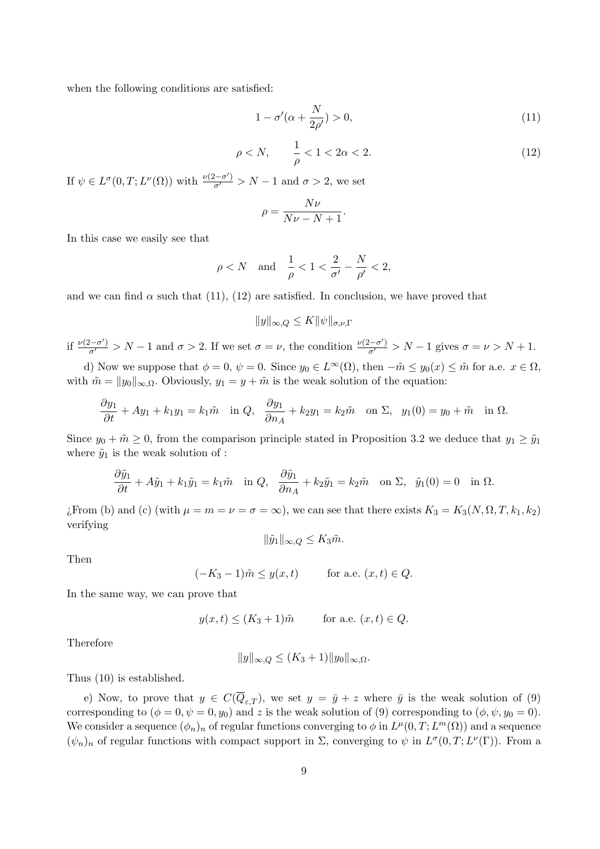when the following conditions are satisfied:

$$
1 - \sigma'(\alpha + \frac{N}{2\rho'}) > 0,\tag{11}
$$

$$
\rho < N, \qquad \frac{1}{\rho} < 1 < 2\alpha < 2. \tag{12}
$$

If  $\psi \in L^{\sigma}(0,T; L^{\nu}(\Omega))$  with  $\frac{\nu(2-\sigma')}{\sigma'} > N-1$  and  $\sigma > 2$ , we set

$$
\rho = \frac{N\nu}{N\nu - N + 1}.
$$

In this case we easily see that

$$
\rho < N
$$
 and  $\frac{1}{\rho} < 1 < \frac{2}{\sigma'} - \frac{N}{\rho'} < 2$ ,

and we can find  $\alpha$  such that (11), (12) are satisfied. In conclusion, we have proved that

$$
||y||_{\infty,Q} \le K ||\psi||_{\sigma,\nu,\Gamma}
$$

if  $\frac{\nu(2-\sigma')}{\sigma'} > N-1$  and  $\sigma > 2$ . If we set  $\sigma = \nu$ , the condition  $\frac{\nu(2-\sigma')}{\sigma'} > N-1$  gives  $\sigma = \nu > N+1$ .

d) Now we suppose that  $\phi = 0$ ,  $\psi = 0$ . Since  $y_0 \in L^{\infty}(\Omega)$ , then  $-\tilde{m} \leq y_0(x) \leq \tilde{m}$  for a.e.  $x \in \Omega$ . with  $\tilde{m} = ||y_0||_{\infty,\Omega}$ . Obviously,  $y_1 = y + \tilde{m}$  is the weak solution of the equation:

$$
\frac{\partial y_1}{\partial t} + Ay_1 + k_1 y_1 = k_1 \tilde{m} \quad \text{in } Q, \quad \frac{\partial y_1}{\partial n_A} + k_2 y_1 = k_2 \tilde{m} \quad \text{on } \Sigma, \quad y_1(0) = y_0 + \tilde{m} \quad \text{in } \Omega.
$$

Since  $y_0 + \tilde{m} \geq 0$ , from the comparison principle stated in Proposition 3.2 we deduce that  $y_1 \geq \tilde{y}_1$ where  $\tilde{y}_1$  is the weak solution of :

$$
\frac{\partial \tilde{y}_1}{\partial t} + A\tilde{y}_1 + k_1 \tilde{y}_1 = k_1 \tilde{m} \quad \text{in } Q, \quad \frac{\partial \tilde{y}_1}{\partial n_A} + k_2 \tilde{y}_1 = k_2 \tilde{m} \quad \text{on } \Sigma, \quad \tilde{y}_1(0) = 0 \quad \text{in } \Omega.
$$

¿From (b) and (c) (with  $\mu = m = \nu = \sigma = \infty$ ), we can see that there exists  $K_3 = K_3(N, \Omega, T, k_1, k_2)$ verifying

$$
\|\tilde{y}_1\|_{\infty,Q} \leq K_3 \tilde{m}.
$$

Then

$$
(-K_3 - 1)\tilde{m} \le y(x, t) \quad \text{for a.e. } (x, t) \in Q.
$$

In the same way, we can prove that

$$
y(x,t) \le (K_3 + 1)\tilde{m} \qquad \text{for a.e. } (x,t) \in Q.
$$

Therefore

$$
||y||_{\infty,Q} \le (K_3+1)||y_0||_{\infty,\Omega}.
$$

Thus (10) is established.

e) Now, to prove that  $y \in C(\overline{Q}_{\varepsilon,T})$ , we set  $y = \overline{y} + z$  where  $\overline{y}$  is the weak solution of (9) corresponding to  $(\phi = 0, \psi = 0, y_0)$  and z is the weak solution of (9) corresponding to  $(\phi, \psi, y_0 = 0)$ . We consider a sequence  $(\phi_n)_n$  of regular functions converging to  $\phi$  in  $L^{\mu}(0,T;L^m(\Omega))$  and a sequence  $(\psi_n)_n$  of regular functions with compact support in  $\Sigma$ , converging to  $\psi$  in  $L^{\sigma}(0,T;L^{\nu}(\Gamma))$ . From a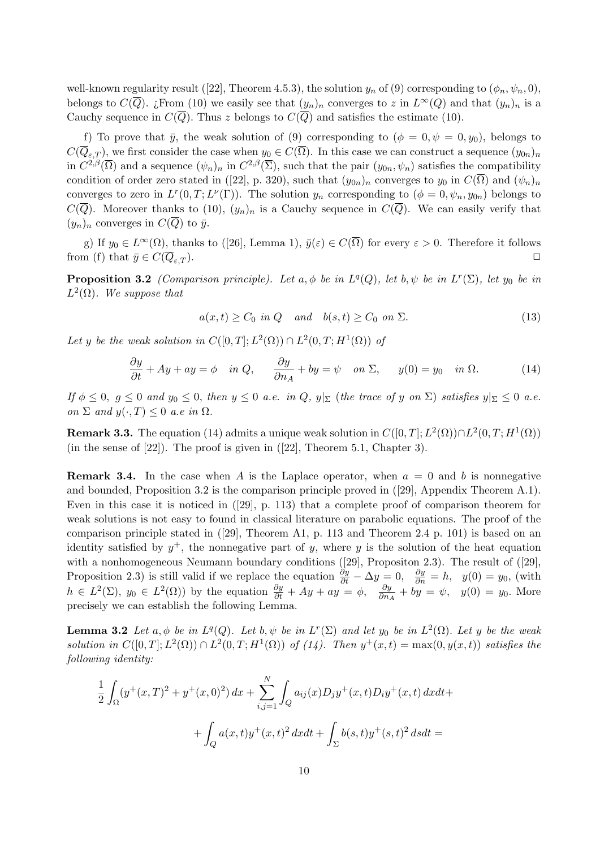well-known regularity result ([22], Theorem 4.5.3), the solution  $y_n$  of (9) corresponding to  $(\phi_n, \psi_n, 0)$ , belongs to  $C(\overline{Q})$ . ¿From (10) we easily see that  $(y_n)_n$  converges to z in  $L^{\infty}(Q)$  and that  $(y_n)_n$  is a Cauchy sequence in  $C(\overline{Q})$ . Thus z belongs to  $C(\overline{Q})$  and satisfies the estimate (10).

f) To prove that  $\bar{y}$ , the weak solution of (9) corresponding to  $(\phi = 0, \psi = 0, y_0)$ , belongs to  $C(\overline{Q}_{\varepsilon T})$ , we first consider the case when  $y_0 \in C(\overline{\Omega})$ . In this case we can construct a sequence  $(y_{0n})_n$ in  $C^{2,\beta}(\overline{\Omega})$  and a sequence  $(\psi_n)_n$  in  $C^{2,\beta}(\overline{\Sigma})$ , such that the pair  $(y_{0n}, \psi_n)$  satisfies the compatibility condition of order zero stated in ([22], p. 320), such that  $(y_{0n})_n$  converges to  $y_0$  in  $C(\overline{\Omega})$  and  $(\psi_n)_n$ converges to zero in  $L^r(0,T;L^{\nu}(\Gamma))$ . The solution  $y_n$  corresponding to  $(\phi=0,\psi_n,y_{0n})$  belongs to  $C(\overline{Q})$ . Moreover thanks to (10),  $(y_n)_n$  is a Cauchy sequence in  $C(\overline{Q})$ . We can easily verify that  $(y_n)_n$  converges in  $C(\overline{Q})$  to  $\overline{y}$ .

g) If  $y_0 \in L^{\infty}(\Omega)$ , thanks to ([26], Lemma 1),  $\bar{y}(\varepsilon) \in C(\overline{\Omega})$  for every  $\varepsilon > 0$ . Therefore it follows from (f) that  $\bar{y} \in C(\overline{Q}_{\varepsilon T}).$ 

**Proposition 3.2** (Comparison principle). Let  $a, \phi$  be in  $L^q(Q)$ , let  $b, \psi$  be in  $L^r(\Sigma)$ , let  $y_0$  be in  $L^2(\Omega)$ . We suppose that

$$
a(x,t) \ge C_0 \text{ in } Q \quad \text{and} \quad b(s,t) \ge C_0 \text{ on } \Sigma. \tag{13}
$$

Let y be the weak solution in  $C([0,T];L^2(\Omega)) \cap L^2(0,T;H^1(\Omega))$  of

$$
\frac{\partial y}{\partial t} + Ay + ay = \phi \quad \text{in } Q, \qquad \frac{\partial y}{\partial n_A} + by = \psi \quad \text{on } \Sigma, \qquad y(0) = y_0 \quad \text{in } \Omega. \tag{14}
$$

If  $\phi \leq 0$ ,  $g \leq 0$  and  $y_0 \leq 0$ , then  $y \leq 0$  a.e. in  $Q$ ,  $y|_{\Sigma}$  (the trace of y on  $\Sigma$ ) satisfies  $y|_{\Sigma} \leq 0$  a.e. on  $\Sigma$  and  $y(\cdot,T) \leq 0$  a.e in  $\Omega$ .

**Remark 3.3.** The equation (14) admits a unique weak solution in  $C([0,T];L^2(\Omega)) \cap L^2(0,T;H^1(\Omega))$ (in the sense of  $[22]$ ). The proof is given in  $([22]$ , Theorem 5.1, Chapter 3).

**Remark 3.4.** In the case when A is the Laplace operator, when  $a = 0$  and b is nonnegative and bounded, Proposition 3.2 is the comparison principle proved in ([29], Appendix Theorem A.1). Even in this case it is noticed in ([29], p. 113) that a complete proof of comparison theorem for weak solutions is not easy to found in classical literature on parabolic equations. The proof of the comparison principle stated in ([29], Theorem A1, p. 113 and Theorem 2.4 p. 101) is based on an identity satisfied by  $y^+$ , the nonnegative part of y, where y is the solution of the heat equation with a nonhomogeneous Neumann boundary conditions ([29], Propositon 2.3). The result of ([29], Proposition 2.3) is still valid if we replace the equation  $\frac{\partial y}{\partial t} - \Delta y = 0$ ,  $\frac{\partial y}{\partial n} = h$ ,  $y(0) = y_0$ , (with  $h \in L^2(\Sigma)$ ,  $y_0 \in L^2(\Omega)$  by the equation  $\frac{\partial y}{\partial t} + Ay + ay = \phi$ ,  $\frac{\partial y}{\partial n_A} + by = \psi$ ,  $y(0) = y_0$ . More precisely we can establish the following Lemma.

**Lemma 3.2** Let  $a, \phi$  be in  $L^q(Q)$ . Let  $b, \psi$  be in  $L^r(\Sigma)$  and let  $y_0$  be in  $L^2(\Omega)$ . Let y be the weak solution in  $C([0,T];L^2(\Omega)) \cap L^2(0,T;H^1(\Omega))$  of (14). Then  $y^+(x,t) = \max(0,y(x,t))$  satisfies the following identity:

$$
\frac{1}{2} \int_{\Omega} (y^+(x,T)^2 + y^+(x,0)^2) dx + \sum_{i,j=1}^N \int_Q a_{ij}(x) D_j y^+(x,t) D_i y^+(x,t) dx dt +
$$

$$
+ \int_Q a(x,t) y^+(x,t)^2 dx dt + \int_{\Sigma} b(s,t) y^+(s,t)^2 ds dt =
$$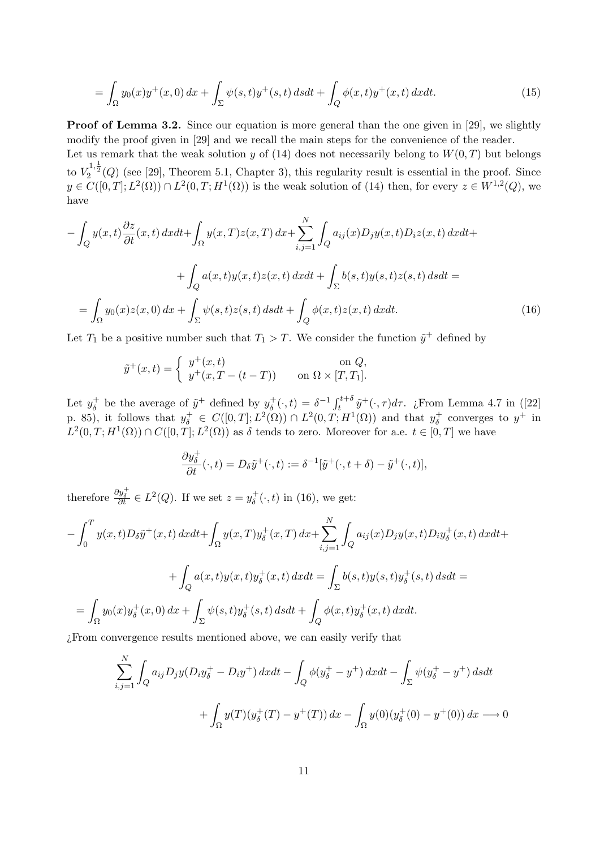$$
= \int_{\Omega} y_0(x) y^+(x,0) \, dx + \int_{\Sigma} \psi(s,t) y^+(s,t) \, ds dt + \int_{Q} \phi(x,t) y^+(x,t) \, dx dt. \tag{15}
$$

Proof of Lemma 3.2. Since our equation is more general than the one given in [29], we slightly modify the proof given in [29] and we recall the main steps for the convenience of the reader. Let us remark that the weak solution y of (14) does not necessarily belong to  $W(0,T)$  but belongs

to  $V_2^{1,\frac{1}{2}}(Q)$  (see [29], Theorem 5.1, Chapter 3), this regularity result is essential in the proof. Since  $y \in C([0,T]; L^2(\Omega)) \cap L^2(0,T; H^1(\Omega))$  is the weak solution of (14) then, for every  $z \in W^{1,2}(Q)$ , we have

$$
-\int_{Q} y(x,t) \frac{\partial z}{\partial t}(x,t) dx dt + \int_{\Omega} y(x,T)z(x,T) dx + \sum_{i,j=1}^{N} \int_{Q} a_{ij}(x)D_{j}y(x,t)D_{i}z(x,t) dx dt +
$$

$$
+\int_{Q} a(x,t)y(x,t)z(x,t) dx dt + \int_{\Sigma} b(s,t)y(s,t)z(s,t) ds dt =
$$

$$
=\int_{\Omega} y_{0}(x)z(x,0) dx + \int_{\Sigma} \psi(s,t)z(s,t) ds dt + \int_{Q} \phi(x,t)z(x,t) dx dt.
$$
(16)

Let  $T_1$  be a positive number such that  $T_1 > T$ . We consider the function  $\tilde{y}^+$  defined by

$$
\tilde{y}^+(x,t) = \begin{cases} y^+(x,t) & \text{on } Q, \\ y^+(x,T-(t-T)) & \text{on } \Omega \times [T,T_1]. \end{cases}
$$

Let  $y_{\delta}^+$  $\delta_{\delta}^{+}$  be the average of  $\tilde{y}^{+}$  defined by  $y_{\delta}^{+}$  $\delta_{\delta}^{+}(\cdot,t) = \delta^{-1} \int_{t}^{t+\delta} \tilde{y}^{+}(\cdot,\tau) d\tau$ . ¿From Lemma 4.7 in ([22] p. 85), it follows that  $y_{\delta}^+ \in C([0,T];L^2(\Omega)) \cap L^2(0,T;H^1(\Omega))$  and that  $y_{\delta}^+$  $y^+$  converges to  $y^+$  in  $L^2(0,T;H^1(\Omega)) \cap C([0,T];L^2(\Omega))$  as  $\delta$  tends to zero. Moreover for a.e.  $t \in [0,T]$  we have

$$
\frac{\partial y_{\delta}^+}{\partial t}(\cdot, t) = D_{\delta} \tilde{y}^+(\cdot, t) := \delta^{-1}[\tilde{y}^+(\cdot, t + \delta) - \tilde{y}^+(\cdot, t)],
$$

therefore  $\frac{\partial y_{\delta}^+}{\partial t} \in L^2(Q)$ . If we set  $z = y_{\delta}^+$  $g_{\delta}^{+}(\cdot,t)$  in (16), we get:

$$
-\int_{0}^{T} y(x,t)D_{\delta}\tilde{y}^{+}(x,t) dxdt + \int_{\Omega} y(x,T)y_{\delta}^{+}(x,T) dx + \sum_{i,j=1}^{N} \int_{Q} a_{ij}(x)D_{j}y(x,t)D_{i}y_{\delta}^{+}(x,t) dxdt + + \int_{Q} a(x,t)y(x,t)y_{\delta}^{+}(x,t) dxdt = \int_{\Sigma} b(s,t)y(s,t)y_{\delta}^{+}(s,t) dsdt = = \int_{\Omega} y_{0}(x)y_{\delta}^{+}(x,0) dx + \int_{\Sigma} \psi(s,t)y_{\delta}^{+}(s,t) dsdt + \int_{Q} \phi(x,t)y_{\delta}^{+}(x,t) dxdt.
$$

¿From convergence results mentioned above, we can easily verify that

$$
\sum_{i,j=1}^{N} \int_{Q} a_{ij} D_{j} y (D_{i} y_{\delta}^{+} - D_{i} y^{+}) dx dt - \int_{Q} \phi(y_{\delta}^{+} - y^{+}) dx dt - \int_{\Sigma} \psi(y_{\delta}^{+} - y^{+}) ds dt
$$

$$
+ \int_{\Omega} y(T) (y_{\delta}^{+}(T) - y^{+}(T)) dx - \int_{\Omega} y(0) (y_{\delta}^{+}(0) - y^{+}(0)) dx \longrightarrow 0
$$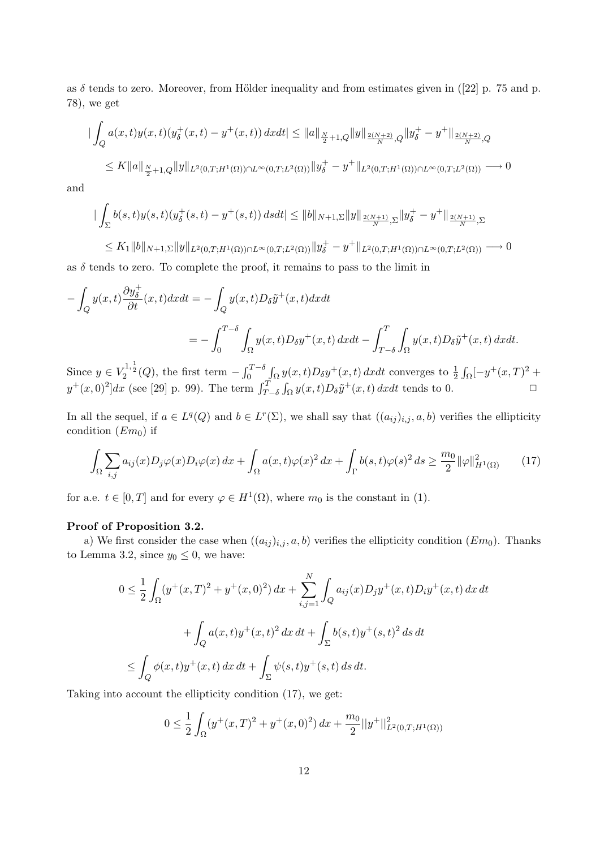as  $\delta$  tends to zero. Moreover, from Hölder inequality and from estimates given in ([22] p. 75 and p. 78), we get

$$
\begin{aligned} \|\int_{Q} a(x,t)y(x,t)(y_{\delta}^{+}(x,t)-y^{+}(x,t))\,dxdt &\leq \|a\|_{\frac{N}{2}+1,Q} \|y\|_{\frac{2(N+2)}{N},Q} \|y_{\delta}^{+}-y^{+}\|_{\frac{2(N+2)}{N},Q} \\ &\leq K \|a\|_{\frac{N}{2}+1,Q} \|y\|_{L^{2}(0,T;H^{1}(\Omega))\cap L^{\infty}(0,T;L^{2}(\Omega))} \|y_{\delta}^{+}-y^{+}\|_{L^{2}(0,T;H^{1}(\Omega))\cap L^{\infty}(0,T;L^{2}(\Omega))} \longrightarrow 0 \end{aligned}
$$

and

$$
\left| \int_{\Sigma} b(s,t)y(s,t)(y_{\delta}^+(s,t) - y^+(s,t)) \, ds dt \right| \leq \|b\|_{N+1,\Sigma} \|y\|_{\frac{2(N+1)}{N},\Sigma} \|y_{\delta}^+ - y^+\|_{\frac{2(N+1)}{N},\Sigma}
$$

 $\leq K_1 \|b\|_{N+1,\Sigma} \|y\|_{L^2(0,T;H^1(\Omega)) \cap L^\infty(0,T;L^2(\Omega))} \|y_\delta^+ - y^+\|_{L^2(0,T;H^1(\Omega)) \cap L^\infty(0,T;L^2(\Omega))} \longrightarrow 0$ as  $\delta$  tends to zero. To complete the proof, it remains to pass to the limit in

$$
-\int_{Q} y(x,t) \frac{\partial y_{\delta}^{+}}{\partial t}(x,t) dx dt = -\int_{Q} y(x,t) D_{\delta} \tilde{y}^{+}(x,t) dx dt
$$
  

$$
= -\int_{0}^{T-\delta} \int_{\Omega} y(x,t) D_{\delta} y^{+}(x,t) dx dt - \int_{T-\delta}^{T} \int_{\Omega} y(x,t) D_{\delta} \tilde{y}^{+}(x,t) dx dt.
$$

Since  $y \in V_2^{1,\frac{1}{2}}(Q)$ , the first term  $-\int_0^{T-\delta} \int_{\Omega} y(x,t)D_\delta y^+(x,t) dx dt$  converges to  $\frac{1}{2} \int_{\Omega} [-y^+(x,T)]^2 +$  $y^+(x,0)^2]dx$  (see [29] p. 99). The term  $\int_{T-\delta}^T \int_{\Omega} y(x,t)D_{\delta} \tilde{y}^+(x,t) dxdt$  tends to 0.

In all the sequel, if  $a \in L^q(Q)$  and  $b \in L^r(\Sigma)$ , we shall say that  $((a_{ij})_{i,j}, a, b)$  verifies the ellipticity condition  $(Em<sub>0</sub>)$  if

$$
\int_{\Omega} \sum_{i,j} a_{ij}(x) D_j \varphi(x) D_i \varphi(x) dx + \int_{\Omega} a(x,t) \varphi(x)^2 dx + \int_{\Gamma} b(s,t) \varphi(s)^2 ds \ge \frac{m_0}{2} ||\varphi||_{H^1(\Omega)}^2 \tag{17}
$$

for a.e.  $t \in [0, T]$  and for every  $\varphi \in H^1(\Omega)$ , where  $m_0$  is the constant in (1).

#### Proof of Proposition 3.2.

a) We first consider the case when  $((a_{ij})_{i,j}, a, b)$  verifies the ellipticity condition  $(Em_0)$ . Thanks to Lemma 3.2, since  $y_0 \leq 0$ , we have:

$$
0 \le \frac{1}{2} \int_{\Omega} (y^+(x,T)^2 + y^+(x,0)^2) dx + \sum_{i,j=1}^N \int_Q a_{ij}(x) D_j y^+(x,t) D_i y^+(x,t) dx dt
$$
  
+ 
$$
\int_Q a(x,t)y^+(x,t)^2 dx dt + \int_{\Sigma} b(s,t)y^+(s,t)^2 ds dt
$$
  

$$
\le \int_Q \phi(x,t)y^+(x,t) dx dt + \int_{\Sigma} \psi(s,t)y^+(s,t) ds dt.
$$

Taking into account the ellipticity condition (17), we get:

$$
0 \le \frac{1}{2} \int_{\Omega} (y^+(x,T)^2 + y^+(x,0)^2) \, dx + \frac{m_0}{2} ||y^+||^2_{L^2(0,T;H^1(\Omega))}
$$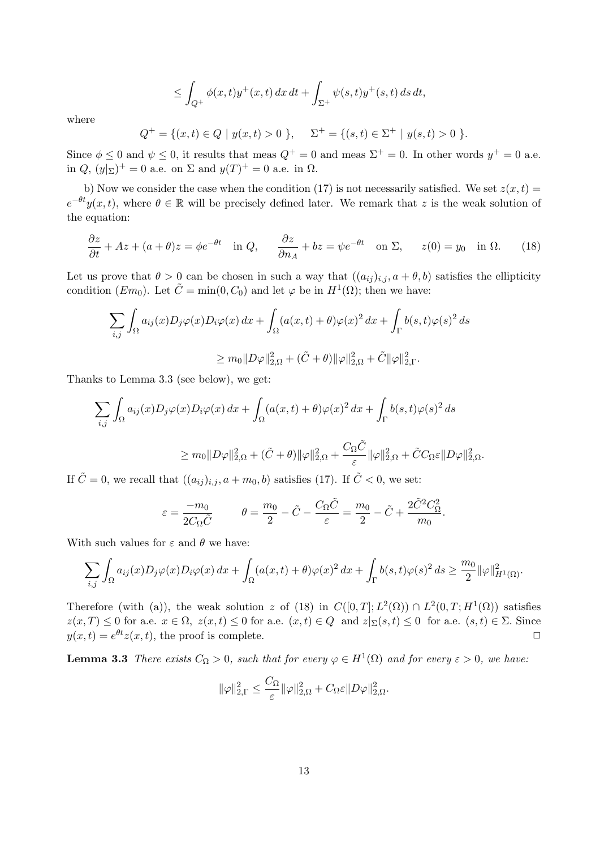$$
\leq \int_{Q^+} \phi(x,t)y^+(x,t)\,dx\,dt + \int_{\Sigma^+} \psi(s,t)y^+(s,t)\,ds\,dt,
$$

where

$$
Q^{+} = \{(x, t) \in Q \mid y(x, t) > 0 \}, \quad \Sigma^{+} = \{(s, t) \in \Sigma^{+} \mid y(s, t) > 0 \}.
$$

Since  $\phi \leq 0$  and  $\psi \leq 0$ , it results that meas  $Q^+ = 0$  and meas  $\Sigma^+ = 0$ . In other words  $y^+ = 0$  a.e. in  $Q$ ,  $(y|_{\Sigma})^{+} = 0$  a.e. on  $\Sigma$  and  $y(T)^{+} = 0$  a.e. in  $\Omega$ .

b) Now we consider the case when the condition (17) is not necessarily satisfied. We set  $z(x, t)$  $e^{-\theta t}y(x,t)$ , where  $\theta \in \mathbb{R}$  will be precisely defined later. We remark that z is the weak solution of the equation:

$$
\frac{\partial z}{\partial t} + Az + (a + \theta)z = \phi e^{-\theta t} \quad \text{in } Q, \qquad \frac{\partial z}{\partial n_A} + bz = \psi e^{-\theta t} \quad \text{on } \Sigma, \qquad z(0) = y_0 \quad \text{in } \Omega. \tag{18}
$$

Let us prove that  $\theta > 0$  can be chosen in such a way that  $((a_{ij})_{i,j}, a + \theta, b)$  satisfies the ellipticity condition  $(Em_0)$ . Let  $\tilde{C} = \min(0, C_0)$  and let  $\varphi$  be in  $H^1(\Omega)$ ; then we have:

$$
\sum_{i,j} \int_{\Omega} a_{ij}(x) D_j \varphi(x) D_i \varphi(x) dx + \int_{\Omega} (a(x,t) + \theta) \varphi(x)^2 dx + \int_{\Gamma} b(s,t) \varphi(s)^2 ds
$$
  

$$
\geq m_0 \|D\varphi\|_{2,\Omega}^2 + (\tilde{C} + \theta) \|\varphi\|_{2,\Omega}^2 + \tilde{C} \|\varphi\|_{2,\Gamma}^2.
$$

Thanks to Lemma 3.3 (see below), we get:

$$
\sum_{i,j} \int_{\Omega} a_{ij}(x) D_j \varphi(x) D_i \varphi(x) dx + \int_{\Omega} (a(x,t) + \theta) \varphi(x)^2 dx + \int_{\Gamma} b(s,t) \varphi(s)^2 ds
$$
  

$$
\geq m_0 \|D\varphi\|_{2,\Omega}^2 + (\tilde{C} + \theta) \|\varphi\|_{2,\Omega}^2 + \frac{C_{\Omega} \tilde{C}}{\varepsilon} \|\varphi\|_{2,\Omega}^2 + \tilde{C} C_{\Omega} \varepsilon \|D\varphi\|_{2,\Omega}^2.
$$

If  $\tilde{C} = 0$ , we recall that  $((a_{ij})_{i,j}, a + m_0, b)$  satisfies (17). If  $\tilde{C} < 0$ , we set:

$$
\varepsilon = \frac{-m_0}{2C_\Omega \tilde{C}} \qquad \theta = \frac{m_0}{2} - \tilde{C} - \frac{C_\Omega \tilde{C}}{\varepsilon} = \frac{m_0}{2} - \tilde{C} + \frac{2\tilde{C}^2 C_\Omega^2}{m_0}.
$$

With such values for  $\varepsilon$  and  $\theta$  we have:

$$
\sum_{i,j} \int_{\Omega} a_{ij}(x) D_j \varphi(x) D_i \varphi(x) dx + \int_{\Omega} (a(x,t) + \theta) \varphi(x)^2 dx + \int_{\Gamma} b(s,t) \varphi(s)^2 ds \geq \frac{m_0}{2} ||\varphi||_{H^1(\Omega)}^2.
$$

Therefore (with (a)), the weak solution z of (18) in  $C([0,T];L^2(\Omega)) \cap L^2(0,T;H^1(\Omega))$  satisfies  $z(x,T) \leq 0$  for a.e.  $x \in \Omega$ ,  $z(x,t) \leq 0$  for a.e.  $(x,t) \in Q$  and  $z|_{\Sigma}(s,t) \leq 0$  for a.e.  $(s,t) \in \Sigma$ . Since  $y(x,t) = e^{\theta t}z(x,t)$ , the proof is complete.

**Lemma 3.3** There exists  $C_{\Omega} > 0$ , such that for every  $\varphi \in H^1(\Omega)$  and for every  $\varepsilon > 0$ , we have:

$$
\|\varphi\|_{2,\Gamma}^2 \leq \frac{C_{\Omega}}{\varepsilon} \|\varphi\|_{2,\Omega}^2 + C_{\Omega} \varepsilon \|D\varphi\|_{2,\Omega}^2.
$$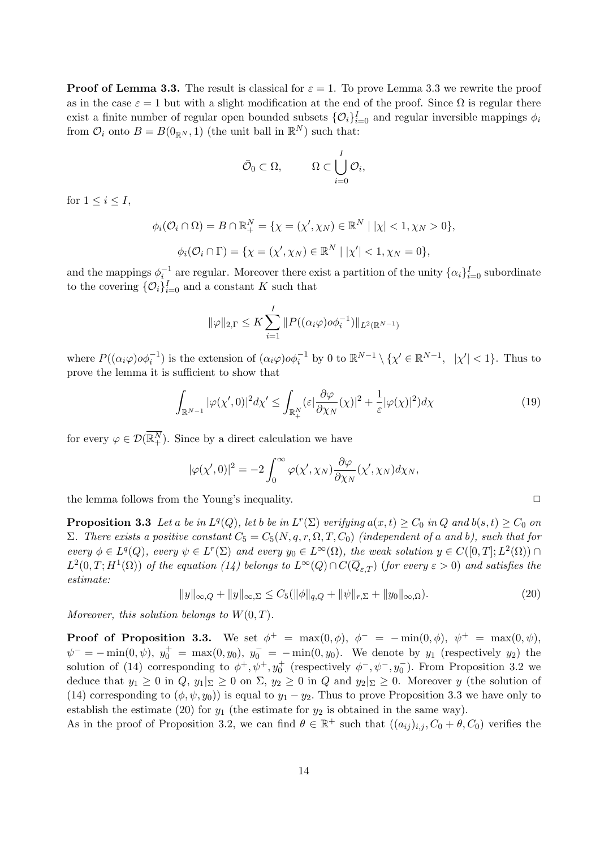**Proof of Lemma 3.3.** The result is classical for  $\varepsilon = 1$ . To prove Lemma 3.3 we rewrite the proof as in the case  $\varepsilon = 1$  but with a slight modification at the end of the proof. Since  $\Omega$  is regular there exist a finite number of regular open bounded subsets  $\{\mathcal{O}_i\}_{i=0}^I$  and regular inversible mappings  $\phi_i$ from  $\mathcal{O}_i$  onto  $B = B(0_{\mathbb{R}^N}, 1)$  (the unit ball in  $\mathbb{R}^N$ ) such that:

$$
\bar{\mathcal{O}}_0 \subset \Omega, \qquad \Omega \subset \bigcup_{i=0}^I \mathcal{O}_i,
$$

for  $1 \leq i \leq I$ ,

$$
\phi_i(\mathcal{O}_i \cap \Omega) = B \cap \mathbb{R}_+^N = \{ \chi = (\chi', \chi_N) \in \mathbb{R}^N \mid |\chi| < 1, \chi_N > 0 \},
$$
\n
$$
\phi_i(\mathcal{O}_i \cap \Gamma) = \{ \chi = (\chi', \chi_N) \in \mathbb{R}^N \mid |\chi'| < 1, \chi_N = 0 \},
$$

and the mappings  $\phi_i^{-1}$  are regular. Moreover there exist a partition of the unity  $\{\alpha_i\}_{i=0}^I$  subordinate to the covering  $\{\mathcal{O}_i\}_{i=0}^I$  and a constant K such that

$$
\|\varphi\|_{2,\Gamma} \le K \sum_{i=1}^I \|P((\alpha_i \varphi) \circ \phi_i^{-1})\|_{L^2(\mathbb{R}^{N-1})}
$$

where  $P((\alpha_i \varphi) \circ \varphi_i^{-1})$  is the extension of  $(\alpha_i \varphi) \circ \varphi_i^{-1}$  by 0 to  $\mathbb{R}^{N-1} \setminus {\{\chi' \in \mathbb{R}^{N-1}, \ |\chi'| < 1}}$ . Thus to prove the lemma it is sufficient to show that

$$
\int_{\mathbb{R}^{N-1}} |\varphi(\chi',0)|^2 d\chi' \le \int_{\mathbb{R}^N_+} (\varepsilon |\frac{\partial \varphi}{\partial \chi_N}(\chi)|^2 + \frac{1}{\varepsilon} |\varphi(\chi)|^2) d\chi \tag{19}
$$

for every  $\varphi \in \mathcal{D}(\overline{\mathbb{R}^N_+})$ . Since by a direct calculation we have

$$
|\varphi(\chi',0)|^2 = -2\int_0^\infty \varphi(\chi',\chi_N)\frac{\partial\varphi}{\partial\chi_N}(\chi',\chi_N)d\chi_N,
$$

the lemma follows from the Young's inequality.  $\Box$ 

**Proposition 3.3** Let a be in  $L^q(Q)$ , let b be in  $L^r(\Sigma)$  verifying  $a(x,t) \geq C_0$  in Q and  $b(s,t) \geq C_0$  on Σ. There exists a positive constant  $C_5 = C_5(N, q, r, \Omega, T, C_0)$  (independent of a and b), such that for every  $\phi \in L^q(Q)$ , every  $\psi \in L^r(\Sigma)$  and every  $y_0 \in L^{\infty}(\Omega)$ , the weak solution  $y \in C([0, T]; L^2(\Omega)) \cap$  $L^2(0,T;H^1(\Omega))$  of the equation (14) belongs to  $L^{\infty}(Q) \cap C(\overline{Q}_{\varepsilon,T})$  (for every  $\varepsilon > 0$ ) and satisfies the estimate:

$$
||y||_{\infty,Q} + ||y||_{\infty,\Sigma} \le C_5(||\phi||_{q,Q} + ||\psi||_{r,\Sigma} + ||y_0||_{\infty,\Omega}).
$$
\n(20)

Moreover, this solution belongs to  $W(0,T)$ .

**Proof of Proposition 3.3.** We set  $\phi^+ = \max(0, \phi)$ ,  $\phi^- = -\min(0, \phi)$ ,  $\psi^+ = \max(0, \psi)$ ,  $\psi^- = -\min(0, \psi), y_0^+ = \max(0, y_0), y_0^- = -\min(0, y_0).$  We denote by  $y_1$  (respectively  $y_2$ ) the solution of (14) corresponding to  $\phi^+, \psi^+, y_0^+$  (respectively  $\phi^-, \psi^-, y_0^-$ ). From Proposition 3.2 we deduce that  $y_1 \geq 0$  in  $Q$ ,  $y_1|_{\Sigma} \geq 0$  on  $\Sigma$ ,  $y_2 \geq 0$  in  $Q$  and  $y_2|_{\Sigma} \geq 0$ . Moreover y (the solution of (14) corresponding to  $(\phi, \psi, y_0)$  is equal to  $y_1 - y_2$ . Thus to prove Proposition 3.3 we have only to establish the estimate (20) for  $y_1$  (the estimate for  $y_2$  is obtained in the same way).

As in the proof of Proposition 3.2, we can find  $\theta \in \mathbb{R}^+$  such that  $((a_{ij})_{i,j}, C_0 + \theta, C_0)$  verifies the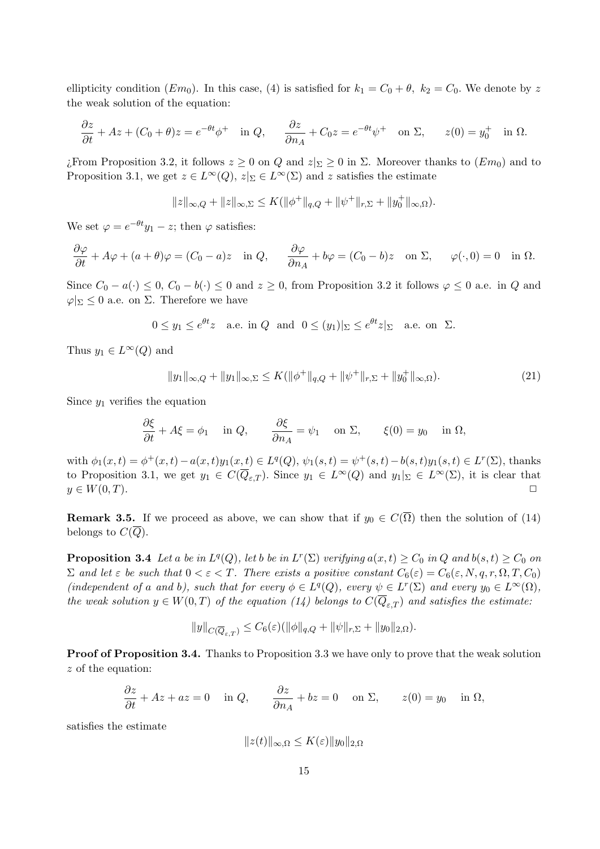ellipticity condition  $(Em_0)$ . In this case, (4) is satisfied for  $k_1 = C_0 + \theta$ ,  $k_2 = C_0$ . We denote by z the weak solution of the equation:

$$
\frac{\partial z}{\partial t} + Az + (C_0 + \theta)z = e^{-\theta t} \phi^+ \quad \text{in } Q, \qquad \frac{\partial z}{\partial n_A} + C_0 z = e^{-\theta t} \psi^+ \quad \text{on } \Sigma, \qquad z(0) = y_0^+ \quad \text{in } \Omega.
$$

*i*. From Proposition 3.2, it follows  $z \geq 0$  on Q and  $z|_{\Sigma} \geq 0$  in Σ. Moreover thanks to  $(Em_0)$  and to Proposition 3.1, we get  $z \in L^{\infty}(Q)$ ,  $z|_{\Sigma} \in L^{\infty}(\Sigma)$  and z satisfies the estimate

$$
||z||_{\infty,Q} + ||z||_{\infty,\Sigma} \le K(||\phi^+||_{q,Q} + ||\psi^+||_{r,\Sigma} + ||y_0^+||_{\infty,\Omega}).
$$

We set  $\varphi = e^{-\theta t} y_1 - z$ ; then  $\varphi$  satisfies:

$$
\frac{\partial \varphi}{\partial t} + A\varphi + (a + \theta)\varphi = (C_0 - a)z \quad \text{in } Q, \qquad \frac{\partial \varphi}{\partial n_A} + b\varphi = (C_0 - b)z \quad \text{on } \Sigma, \qquad \varphi(\cdot, 0) = 0 \quad \text{in } \Omega.
$$

Since  $C_0 - a(\cdot) \leq 0$ ,  $C_0 - b(\cdot) \leq 0$  and  $z \geq 0$ , from Proposition 3.2 it follows  $\varphi \leq 0$  a.e. in Q and  $\varphi|_{\Sigma} \leq 0$  a.e. on  $\Sigma$ . Therefore we have

 $0 \le y_1 \le e^{\theta t} z$  a.e. in  $Q$  and  $0 \le (y_1)|_{\Sigma} \le e^{\theta t} z|_{\Sigma}$  a.e. on  $\Sigma$ .

Thus  $y_1 \in L^{\infty}(Q)$  and

$$
||y_1||_{\infty,Q} + ||y_1||_{\infty,\Sigma} \le K(||\phi^+||_{q,Q} + ||\psi^+||_{r,\Sigma} + ||y_0^+||_{\infty,\Omega}).
$$
\n(21)

Since  $y_1$  verifies the equation

$$
\frac{\partial \xi}{\partial t} + A\xi = \phi_1 \quad \text{in } Q, \qquad \frac{\partial \xi}{\partial n_A} = \psi_1 \quad \text{on } \Sigma, \qquad \xi(0) = y_0 \quad \text{in } \Omega,
$$

with  $\phi_1(x,t) = \phi^+(x,t) - a(x,t)y_1(x,t) \in L^q(Q)$ ,  $\psi_1(s,t) = \psi^+(s,t) - b(s,t)y_1(s,t) \in L^r(\Sigma)$ , thanks to Proposition 3.1, we get  $y_1 \in C(\overline{Q}_{\varepsilon,T})$ . Since  $y_1 \in L^{\infty}(Q)$  and  $y_1|_{\Sigma} \in L^{\infty}(\Sigma)$ , it is clear that  $y \in W(0,T)$ .

**Remark 3.5.** If we proceed as above, we can show that if  $y_0 \in C(\overline{\Omega})$  then the solution of (14) belongs to  $C(Q)$ .

**Proposition 3.4** Let a be in  $L^q(Q)$ , let b be in  $L^r(\Sigma)$  verifying  $a(x,t) \geq C_0$  in Q and  $b(s,t) \geq C_0$  on  $\Sigma$  and let  $\varepsilon$  be such that  $0 < \varepsilon < T$ . There exists a positive constant  $C_6(\varepsilon) = C_6(\varepsilon, N, q, r, \Omega, T, C_0)$ (independent of a and b), such that for every  $\phi \in L^q(Q)$ , every  $\psi \in L^r(\Sigma)$  and every  $y_0 \in L^{\infty}(\Omega)$ , the weak solution  $y \in W(0,T)$  of the equation (14) belongs to  $C(\overline{Q}_{\varepsilon,T})$  and satisfies the estimate:

$$
||y||_{C(\overline{Q}_{\varepsilon,T})} \leq C_6(\varepsilon)(||\phi||_{q,Q} + ||\psi||_{r,\Sigma} + ||y_0||_{2,\Omega}).
$$

Proof of Proposition 3.4. Thanks to Proposition 3.3 we have only to prove that the weak solution z of the equation:

$$
\frac{\partial z}{\partial t} + Az + az = 0 \quad \text{in } Q, \qquad \frac{\partial z}{\partial n_A} + bz = 0 \quad \text{on } \Sigma, \qquad z(0) = y_0 \quad \text{in } \Omega,
$$

satisfies the estimate

$$
||z(t)||_{\infty,\Omega} \le K(\varepsilon) ||y_0||_{2,\Omega}
$$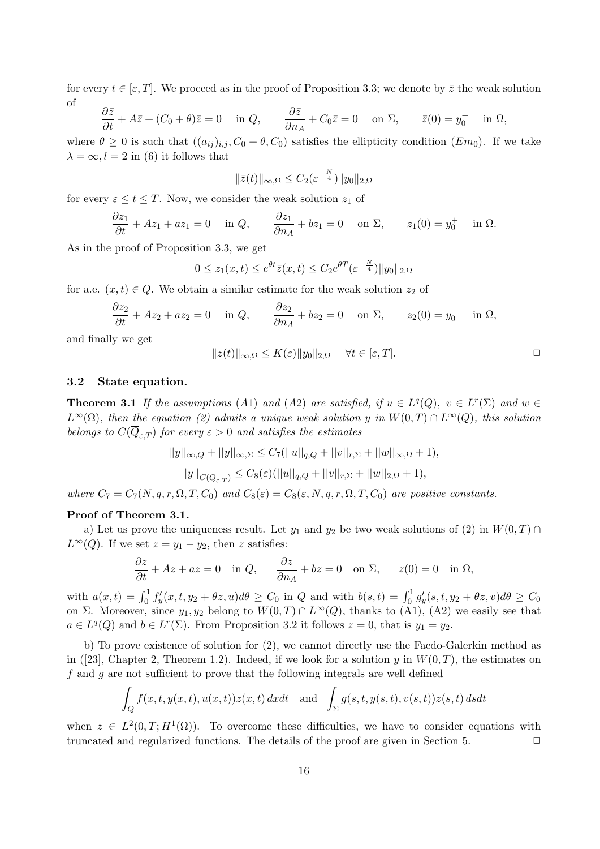for every  $t \in [\varepsilon, T]$ . We proceed as in the proof of Proposition 3.3; we denote by  $\overline{z}$  the weak solution of

$$
\frac{\partial \bar{z}}{\partial t} + A\bar{z} + (C_0 + \theta)\bar{z} = 0 \quad \text{in } Q, \qquad \frac{\partial \bar{z}}{\partial n_A} + C_0\bar{z} = 0 \quad \text{on } \Sigma, \qquad \bar{z}(0) = y_0^+ \quad \text{in } \Omega,
$$

where  $\theta \geq 0$  is such that  $((a_{ij})_{i,j}, C_0 + \theta, C_0)$  satisfies the ellipticity condition  $(Em_0)$ . If we take  $\lambda = \infty, l = 2$  in (6) it follows that

$$
\|\bar{z}(t)\|_{\infty,\Omega} \leq C_2(\varepsilon^{-\frac{N}{4}})\|y_0\|_{2,\Omega}
$$

for every  $\varepsilon \leq t \leq T$ . Now, we consider the weak solution  $z_1$  of

$$
\frac{\partial z_1}{\partial t} + Az_1 + az_1 = 0 \quad \text{in } Q, \qquad \frac{\partial z_1}{\partial n_A} + bz_1 = 0 \quad \text{on } \Sigma, \qquad z_1(0) = y_0^+ \quad \text{in } \Omega.
$$

As in the proof of Proposition 3.3, we get

$$
0 \le z_1(x,t) \le e^{\theta t} \overline{z}(x,t) \le C_2 e^{\theta T} \left(\varepsilon^{-\frac{N}{4}}\right) \|y_0\|_{2,\Omega}
$$

for a.e.  $(x, t) \in Q$ . We obtain a similar estimate for the weak solution  $z_2$  of

$$
\frac{\partial z_2}{\partial t} + Az_2 + az_2 = 0 \quad \text{in } Q, \qquad \frac{\partial z_2}{\partial n_A} + bz_2 = 0 \quad \text{on } \Sigma, \qquad z_2(0) = y_0^- \quad \text{in } \Omega,
$$

and finally we get

$$
||z(t)||_{\infty,\Omega} \le K(\varepsilon) ||y_0||_{2,\Omega} \quad \forall t \in [\varepsilon, T].
$$

#### 3.2 State equation.

**Theorem 3.1** If the assumptions (A1) and (A2) are satisfied, if  $u \in L^q(Q)$ ,  $v \in L^r(\Sigma)$  and  $w \in L^r(Q)$  $L^{\infty}(\Omega)$ , then the equation (2) admits a unique weak solution y in  $W(0,T) \cap L^{\infty}(Q)$ , this solution belongs to  $C(\overline{Q}_{\varepsilon,T})$  for every  $\varepsilon > 0$  and satisfies the estimates

$$
||y||_{\infty,Q} + ||y||_{\infty,\Sigma} \le C_7(||u||_{q,Q} + ||v||_{r,\Sigma} + ||w||_{\infty,\Omega} + 1),
$$
  

$$
||y||_{C(\overline{Q}_{\varepsilon,T})} \le C_8(\varepsilon)(||u||_{q,Q} + ||v||_{r,\Sigma} + ||w||_{2,\Omega} + 1),
$$

where  $C_7 = C_7(N, q, r, \Omega, T, C_0)$  and  $C_8(\varepsilon) = C_8(\varepsilon, N, q, r, \Omega, T, C_0)$  are positive constants.

#### Proof of Theorem 3.1.

a) Let us prove the uniqueness result. Let  $y_1$  and  $y_2$  be two weak solutions of  $(2)$  in  $W(0, T) \cap$  $L^{\infty}(Q)$ . If we set  $z = y_1 - y_2$ , then z satisfies:

$$
\frac{\partial z}{\partial t} + Az + az = 0 \quad \text{in } Q, \qquad \frac{\partial z}{\partial n_A} + bz = 0 \quad \text{on } \Sigma, \qquad z(0) = 0 \quad \text{in } \Omega,
$$

with  $a(x,t) = \int_0^1 f'_y(x,t,y_2+\theta z, u)d\theta \geq C_0$  in Q and with  $b(s,t) = \int_0^1 g'_y(s,t,y_2+\theta z, v)d\theta \geq C_0$ on Σ. Moreover, since  $y_1, y_2$  belong to  $W(0, T) \cap L^{\infty}(Q)$ , thanks to (A1), (A2) we easily see that  $a \in L^q(Q)$  and  $b \in L^r(\Sigma)$ . From Proposition 3.2 it follows  $z = 0$ , that is  $y_1 = y_2$ .

b) To prove existence of solution for (2), we cannot directly use the Faedo-Galerkin method as in ([23], Chapter 2, Theorem 1.2). Indeed, if we look for a solution y in  $W(0,T)$ , the estimates on f and g are not sufficient to prove that the following integrals are well defined

$$
\int_{Q} f(x, t, y(x, t), u(x, t)) z(x, t) dx dt \text{ and } \int_{\Sigma} g(s, t, y(s, t), v(s, t)) z(s, t) ds dt
$$

when  $z \in L^2(0,T;H^1(\Omega))$ . To overcome these difficulties, we have to consider equations with truncated and regularized functions. The details of the proof are given in Section 5.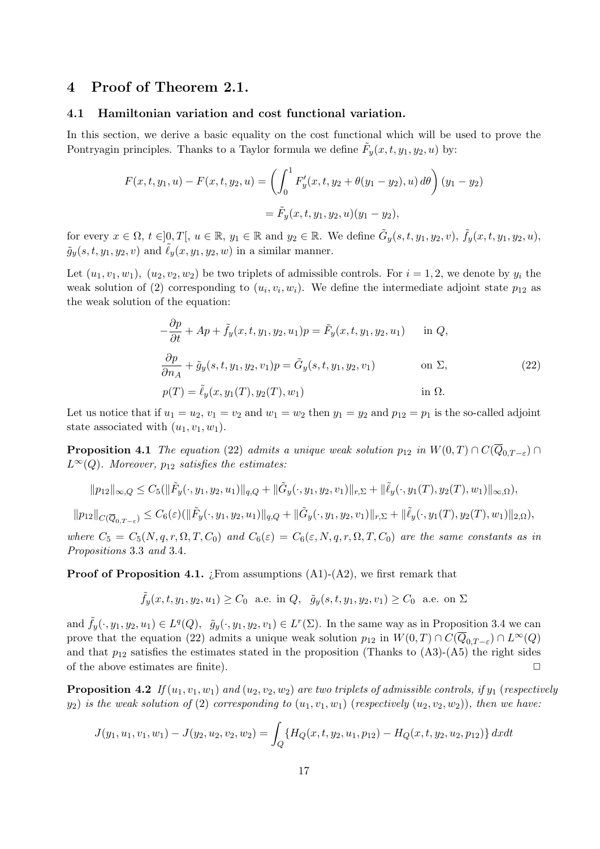## 4 Proof of Theorem 2.1.

#### 4.1 Hamiltonian variation and cost functional variation.

In this section, we derive a basic equality on the cost functional which will be used to prove the Pontryagin principles. Thanks to a Taylor formula we define  $\tilde{F}_y(x,t,y_1,y_2,u)$  by:

$$
F(x, t, y_1, u) - F(x, t, y_2, u) = \left( \int_0^1 F'_y(x, t, y_2 + \theta(y_1 - y_2), u) d\theta \right) (y_1 - y_2)
$$
  
=  $\tilde{F}_y(x, t, y_1, y_2, u) (y_1 - y_2),$ 

for every  $x \in \Omega$ ,  $t \in ]0,T[$ ,  $u \in \mathbb{R}$ ,  $y_1 \in \mathbb{R}$  and  $y_2 \in \mathbb{R}$ . We define  $\tilde{G}_y(s,t,y_1,y_2,v)$ ,  $\tilde{f}_y(x,t,y_1,y_2,u)$ ,  $\tilde{g}_y(s, t, y_1, y_2, v)$  and  $\tilde{\ell}_y(x, y_1, y_2, w)$  in a similar manner.

Let  $(u_1, v_1, w_1), (u_2, v_2, w_2)$  be two triplets of admissible controls. For  $i = 1, 2$ , we denote by  $y_i$  the weak solution of (2) corresponding to  $(u_i, v_i, w_i)$ . We define the intermediate adjoint state  $p_{12}$  as the weak solution of the equation:

$$
-\frac{\partial p}{\partial t} + Ap + \tilde{f}_y(x, t, y_1, y_2, u_1)p = \tilde{F}_y(x, t, y_1, y_2, u_1) \quad \text{in } Q,
$$
  

$$
\frac{\partial p}{\partial n_A} + \tilde{g}_y(s, t, y_1, y_2, v_1)p = \tilde{G}_y(s, t, y_1, y_2, v_1) \quad \text{on } \Sigma,
$$
  

$$
p(T) = \tilde{\ell}_y(x, y_1(T), y_2(T), w_1) \quad \text{in } \Omega.
$$
 (22)

Let us notice that if  $u_1 = u_2$ ,  $v_1 = v_2$  and  $w_1 = w_2$  then  $y_1 = y_2$  and  $p_{12} = p_1$  is the so-called adjoint state associated with  $(u_1, v_1, w_1)$ .

**Proposition 4.1** The equation (22) admits a unique weak solution  $p_{12}$  in  $W(0,T) \cap C(\overline{Q}_{0,T-\varepsilon}) \cap$  $L^{\infty}(Q)$ . Moreover,  $p_{12}$  satisfies the estimates:

$$
||p_{12}||_{\infty,Q} \leq C_5(||\tilde{F}_y(\cdot,y_1,y_2,u_1)||_{q,Q} + ||\tilde{G}_y(\cdot,y_1,y_2,v_1)||_{r,\Sigma} + ||\tilde{\ell}_y(\cdot,y_1(T),y_2(T),w_1)||_{\infty,\Omega}),
$$

 $||p_{12}||_{C(\overline{Q}_{0,T-\varepsilon})} \leq C_6(\varepsilon)(\|\tilde{F}_y(\cdot,y_1,y_2,u_1)\|_{q,Q} + \|\tilde{G}_y(\cdot,y_1,y_2,v_1)\|_{r,\Sigma} + \|\tilde{\ell}_y(\cdot,y_1(T),y_2(T),w_1)\|_{2,\Omega}),$ 

where  $C_5 = C_5(N, q, r, \Omega, T, C_0)$  and  $C_6(\varepsilon) = C_6(\varepsilon, N, q, r, \Omega, T, C_0)$  are the same constants as in Propositions 3.3 and 3.4.

**Proof of Proposition 4.1.** *i*. From assumptions  $(A1)-(A2)$ , we first remark that

$$
\tilde{f}_y(x, t, y_1, y_2, u_1) \ge C_0
$$
 a.e. in  $Q$ ,  $\tilde{g}_y(s, t, y_1, y_2, v_1) \ge C_0$  a.e. on  $\Sigma$ 

and  $\tilde{f}_y(\cdot, y_1, y_2, u_1) \in L^q(Q)$ ,  $\tilde{g}_y(\cdot, y_1, y_2, v_1) \in L^r(\Sigma)$ . In the same way as in Proposition 3.4 we can prove that the equation (22) admits a unique weak solution  $p_{12}$  in  $W(0,T) \cap C(\overline{Q}_{0,T-\varepsilon}) \cap L^{\infty}(Q)$ and that  $p_{12}$  satisfies the estimates stated in the proposition (Thanks to  $(A3)-(A5)$ ) the right sides of the above estimates are finite).

**Proposition 4.2** If  $(u_1, v_1, w_1)$  and  $(u_2, v_2, w_2)$  are two triplets of admissible controls, if  $y_1$  (respectively  $y_2$ ) is the weak solution of (2) corresponding to  $(u_1, v_1, w_1)$  (respectively  $(u_2, v_2, w_2)$ ), then we have:

$$
J(y_1, u_1, v_1, w_1) - J(y_2, u_2, v_2, w_2) = \int_Q \{ H_Q(x, t, y_2, u_1, p_{12}) - H_Q(x, t, y_2, u_2, p_{12}) \} dx dt
$$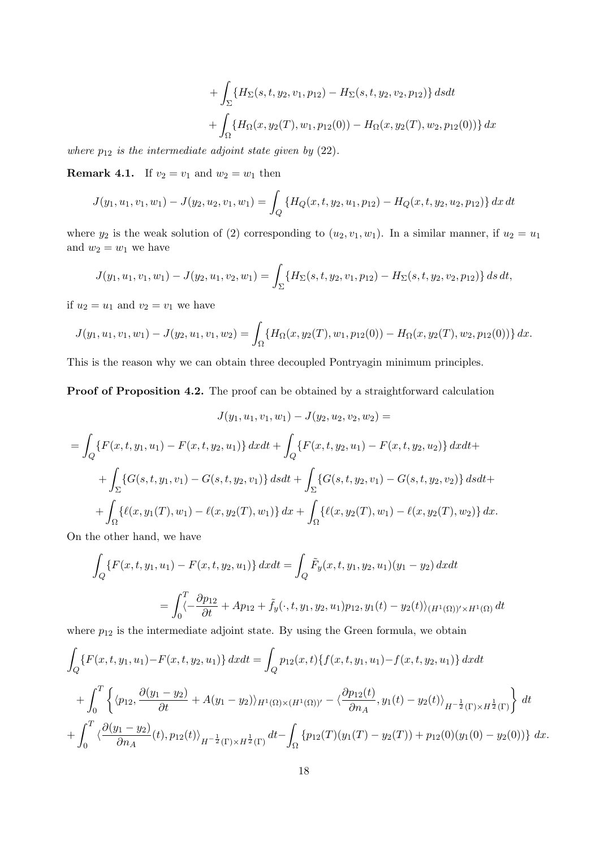+ 
$$
\int_{\Sigma} \{H_{\Sigma}(s, t, y_2, v_1, p_{12}) - H_{\Sigma}(s, t, y_2, v_2, p_{12})\} ds dt
$$
  
+  $\int_{\Omega} \{H_{\Omega}(x, y_2(T), w_1, p_{12}(0)) - H_{\Omega}(x, y_2(T), w_2, p_{12}(0))\} dx$ 

where  $p_{12}$  is the intermediate adjoint state given by (22).

**Remark 4.1.** If  $v_2 = v_1$  and  $w_2 = w_1$  then

$$
J(y_1, u_1, v_1, w_1) - J(y_2, u_2, v_1, w_1) = \int_Q \{ H_Q(x, t, y_2, u_1, p_{12}) - H_Q(x, t, y_2, u_2, p_{12}) \} dx dt
$$

where  $y_2$  is the weak solution of (2) corresponding to  $(u_2, v_1, w_1)$ . In a similar manner, if  $u_2 = u_1$ and  $w_2 = w_1$  we have

$$
J(y_1, u_1, v_1, w_1) - J(y_2, u_1, v_2, w_1) = \int_{\Sigma} \{H_{\Sigma}(s, t, y_2, v_1, p_{12}) - H_{\Sigma}(s, t, y_2, v_2, p_{12})\} ds dt,
$$

if  $u_2 = u_1$  and  $v_2 = v_1$  we have

$$
J(y_1, u_1, v_1, w_1) - J(y_2, u_1, v_1, w_2) = \int_{\Omega} \{H_{\Omega}(x, y_2(T), w_1, p_{12}(0)) - H_{\Omega}(x, y_2(T), w_2, p_{12}(0))\} dx.
$$

This is the reason why we can obtain three decoupled Pontryagin minimum principles.

Proof of Proposition 4.2. The proof can be obtained by a straightforward calculation

$$
J(y_1, u_1, v_1, w_1) - J(y_2, u_2, v_2, w_2) =
$$
  
=  $\int_Q \{F(x, t, y_1, u_1) - F(x, t, y_2, u_1)\} dxdt + \int_Q \{F(x, t, y_2, u_1) - F(x, t, y_2, u_2)\} dxdt +$   
+  $\int_{\Sigma} \{G(s, t, y_1, v_1) - G(s, t, y_2, v_1)\} dsdt + \int_{\Sigma} \{G(s, t, y_2, v_1) - G(s, t, y_2, v_2)\} dsdt +$   
+  $\int_{\Omega} \{\ell(x, y_1(T), w_1) - \ell(x, y_2(T), w_1)\} dx + \int_{\Omega} \{\ell(x, y_2(T), w_1) - \ell(x, y_2(T), w_2)\} dx.$ 

On the other hand, we have

$$
\int_{Q} \{F(x, t, y_1, u_1) - F(x, t, y_2, u_1)\} dxdt = \int_{Q} \tilde{F}_y(x, t, y_1, y_2, u_1)(y_1 - y_2) dxdt
$$

$$
= \int_{0}^{T} \left\langle -\frac{\partial p_{12}}{\partial t} + Ap_{12} + \tilde{f}_y(\cdot, t, y_1, y_2, u_1)p_{12}, y_1(t) - y_2(t) \right\rangle_{(H^1(\Omega))' \times H^1(\Omega)} dt
$$

where  $p_{12}$  is the intermediate adjoint state. By using the Green formula, we obtain

$$
\int_{Q} \{F(x, t, y_1, u_1) - F(x, t, y_2, u_1)\} dx dt = \int_{Q} p_{12}(x, t) \{f(x, t, y_1, u_1) - f(x, t, y_2, u_1)\} dx dt \n+ \int_{0}^{T} \left\{ \langle p_{12}, \frac{\partial(y_1 - y_2)}{\partial t} + A(y_1 - y_2) \rangle_{H^1(\Omega) \times (H^1(\Omega))'} - \langle \frac{\partial p_{12}(t)}{\partial n_A}, y_1(t) - y_2(t) \rangle_{H^{-\frac{1}{2}}(\Gamma) \times H^{\frac{1}{2}}(\Gamma)} \right\} dt \n+ \int_{0}^{T} \langle \frac{\partial(y_1 - y_2)}{\partial n_A}(t), p_{12}(t) \rangle_{H^{-\frac{1}{2}}(\Gamma) \times H^{\frac{1}{2}}(\Gamma)} dt - \int_{\Omega} \{p_{12}(T)(y_1(T) - y_2(T)) + p_{12}(0)(y_1(0) - y_2(0))\} dx.
$$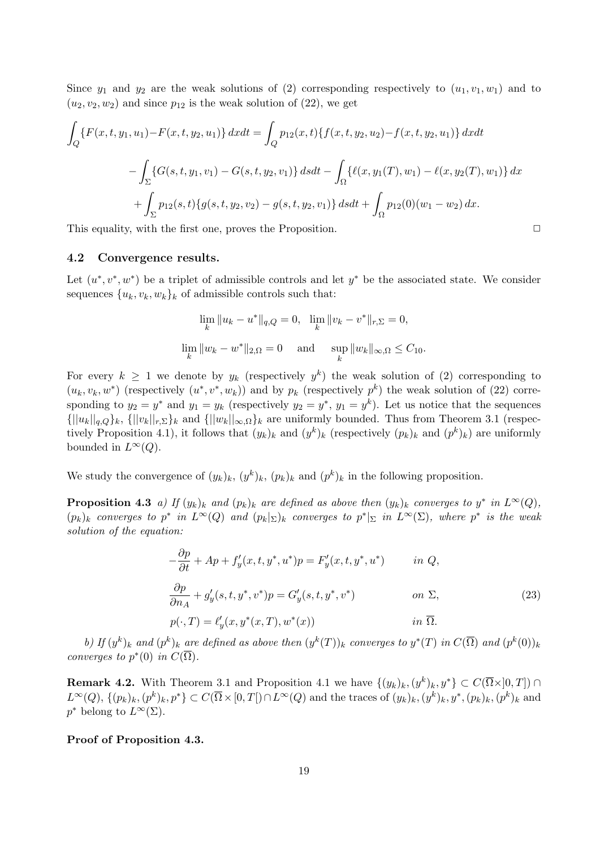Since  $y_1$  and  $y_2$  are the weak solutions of (2) corresponding respectively to  $(u_1, v_1, w_1)$  and to  $(u_2, v_2, w_2)$  and since  $p_{12}$  is the weak solution of  $(22)$ , we get

$$
\int_{Q} \{F(x, t, y_1, u_1) - F(x, t, y_2, u_1)\} dx dt = \int_{Q} p_{12}(x, t) \{f(x, t, y_2, u_2) - f(x, t, y_2, u_1)\} dx dt
$$

$$
- \int_{\Sigma} \{G(s, t, y_1, v_1) - G(s, t, y_2, v_1)\} ds dt - \int_{\Omega} \{\ell(x, y_1(T), w_1) - \ell(x, y_2(T), w_1)\} dx
$$

$$
+ \int_{\Sigma} p_{12}(s, t) \{g(s, t, y_2, v_2) - g(s, t, y_2, v_1)\} ds dt + \int_{\Omega} p_{12}(0)(w_1 - w_2) dx.
$$

This equality, with the first one, proves the Proposition.  $\Box$ 

#### 4.2 Convergence results.

Let  $(u^*, v^*, w^*)$  be a triplet of admissible controls and let  $y^*$  be the associated state. We consider sequences  $\{u_k, v_k, w_k\}_k$  of admissible controls such that:

$$
\lim_{k} \|u_{k} - u^{*}\|_{q,Q} = 0, \quad \lim_{k} \|v_{k} - v^{*}\|_{r,\Sigma} = 0,
$$
  

$$
\lim_{k} \|w_{k} - w^{*}\|_{2,\Omega} = 0 \quad \text{and} \quad \sup_{k} \|w_{k}\|_{\infty,\Omega} \le C_{10}.
$$

For every  $k \geq 1$  we denote by  $y_k$  (respectively  $y^k$ ) the weak solution of (2) corresponding to  $(u_k, v_k, w^*)$  (respectively  $(u^*, v^*, w_k)$ ) and by  $p_k$  (respectively  $p^k$ ) the weak solution of (22) corresponding to  $y_2 = y^*$  and  $y_1 = y_k$  (respectively  $y_2 = y^*$ ,  $y_1 = y^k$ ). Let us notice that the sequences  ${||u_k||_{q,Q}}_k, {||v_k||_{r,\Sigma}}_k$  and  ${||w_k||_{\infty,\Omega}}_k$  are uniformly bounded. Thus from Theorem 3.1 (respectively Proposition 4.1), it follows that  $(y_k)_k$  and  $(y^k)_k$  (respectively  $(p_k)_k$  and  $(p^k)_k$ ) are uniformly bounded in  $L^{\infty}(Q)$ .

We study the convergence of  $(y_k)_k$ ,  $(y^k)_k$ ,  $(p_k)_k$  and  $(p^k)_k$  in the following proposition.

**Proposition 4.3** a) If  $(y_k)_k$  and  $(p_k)_k$  are defined as above then  $(y_k)_k$  converges to  $y^*$  in  $L^{\infty}(Q)$ ,  $(p_k)_k$  converges to  $p^*$  in  $L^{\infty}(Q)$  and  $(p_k|_{\Sigma})_k$  converges to  $p^*|_{\Sigma}$  in  $L^{\infty}(\Sigma)$ , where  $p^*$  is the weak solution of the equation:

$$
-\frac{\partial p}{\partial t} + Ap + f'_y(x, t, y^*, u^*)p = F'_y(x, t, y^*, u^*) \qquad in Q,
$$
  

$$
\frac{\partial p}{\partial n_A} + g'_y(s, t, y^*, v^*)p = G'_y(s, t, y^*, v^*) \qquad on \Sigma,
$$
  

$$
p(\cdot, T) = \ell'_y(x, y^*(x, T), w^*(x)) \qquad in \overline{\Omega}.
$$
 (23)

b) If  $(y^k)_k$  and  $(p^k)_k$  are defined as above then  $(y^k(T))_k$  converges to  $y^*(T)$  in  $C(\overline{\Omega})$  and  $(p^k(0))_k$ converges to  $p^*(0)$  in  $C(\overline{\Omega})$ .

**Remark 4.2.** With Theorem 3.1 and Proposition 4.1 we have  $\{(y_k)_k,(y^k)_k,y^*\}\subset C(\overline{\Omega}\times]0,T$ ) ∩  $L^{\infty}(Q)$ ,  $\{(p_k)_k,(p^k)_k,p^*\}\subset C(\overline{\Omega}\times[0,T])\cap L^{\infty}(Q)$  and the traces of  $(y_k)_k,(y^k)_k,y^*,(p_k)_k,(p^k)_k$  and  $p^*$  belong to  $L^{\infty}(\Sigma)$ .

Proof of Proposition 4.3.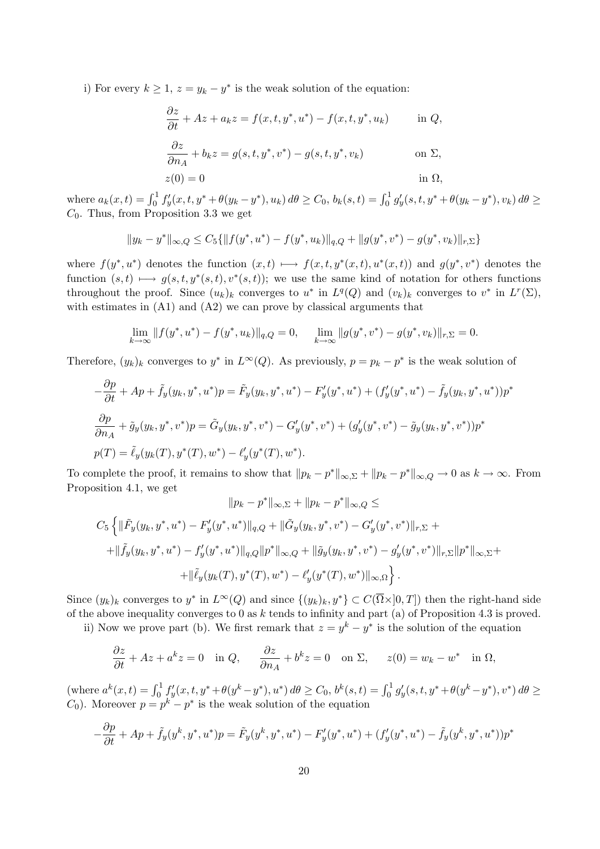i) For every  $k \geq 1$ ,  $z = y_k - y^*$  is the weak solution of the equation:

$$
\frac{\partial z}{\partial t} + Az + a_k z = f(x, t, y^*, u^*) - f(x, t, y^*, u_k) \quad \text{in } Q,
$$

$$
\frac{\partial z}{\partial n_A} + b_k z = g(s, t, y^*, v^*) - g(s, t, y^*, v_k) \quad \text{on } \Sigma,
$$

$$
z(0) = 0
$$
 in  $\Omega$ ,

where  $a_k(x,t) = \int_0^1 f'_y(x,t,y^* + \theta(y_k - y^*), u_k) d\theta \ge C_0$ ,  $b_k(s,t) = \int_0^1 g'_y(s,t,y^* + \theta(y_k - y^*), v_k) d\theta \ge C_0$  $C_0$ . Thus, from Proposition 3.3 we get

$$
||y_k - y^*||_{\infty,Q} \le C_5 \{ ||f(y^*, u^*) - f(y^*, u_k)||_{q,Q} + ||g(y^*, v^*) - g(y^*, v_k)||_{r,\Sigma} \}
$$

where  $f(y^*, u^*)$  denotes the function  $(x,t) \longmapsto f(x,t, y^*(x,t), u^*(x,t))$  and  $g(y^*, v^*)$  denotes the function  $(s, t) \longmapsto g(s, t, y^*(s, t), v^*(s, t))$ ; we use the same kind of notation for others functions throughout the proof. Since  $(u_k)_k$  converges to  $u^*$  in  $L^q(Q)$  and  $(v_k)_k$  converges to  $v^*$  in  $L^r(\Sigma)$ , with estimates in  $(A1)$  and  $(A2)$  we can prove by classical arguments that

$$
\lim_{k \to \infty} ||f(y^*, u^*) - f(y^*, u_k)||_{q,Q} = 0, \quad \lim_{k \to \infty} ||g(y^*, v^*) - g(y^*, v_k)||_{r,\Sigma} = 0.
$$

Therefore,  $(y_k)_k$  converges to  $y^*$  in  $L^{\infty}(Q)$ . As previously,  $p = p_k - p^*$  is the weak solution of

$$
-\frac{\partial p}{\partial t} + Ap + \tilde{f}_y(y_k, y^*, u^*)p = \tilde{F}_y(y_k, y^*, u^*) - F'_y(y^*, u^*) + (f'_y(y^*, u^*) - \tilde{f}_y(y_k, y^*, u^*))p^*
$$
  

$$
\frac{\partial p}{\partial n_A} + \tilde{g}_y(y_k, y^*, v^*)p = \tilde{G}_y(y_k, y^*, v^*) - G'_y(y^*, v^*) + (g'_y(y^*, v^*) - \tilde{g}_y(y_k, y^*, v^*))p^*
$$
  

$$
p(T) = \tilde{\ell}_y(y_k(T), y^*(T), w^*) - \ell'_y(y^*(T), w^*).
$$

To complete the proof, it remains to show that  $||p_k - p^*||_{\infty, \Sigma} + ||p_k - p^*||_{\infty, Q} \to 0$  as  $k \to \infty$ . From Proposition 4.1, we get

$$
||p_{k} - p^{*}||_{\infty,\Sigma} + ||p_{k} - p^{*}||_{\infty,Q} \le
$$
  

$$
C_{5} \left\{ ||\tilde{F}_{y}(y_{k}, y^{*}, u^{*}) - F'_{y}(y^{*}, u^{*})||_{q,Q} + ||\tilde{G}_{y}(y_{k}, y^{*}, v^{*}) - G'_{y}(y^{*}, v^{*})||_{r,\Sigma} +
$$

$$
+ ||\tilde{f}_{y}(y_{k}, y^{*}, u^{*}) - f'_{y}(y^{*}, u^{*})||_{q,Q} ||p^{*}||_{\infty,Q} + ||\tilde{g}_{y}(y_{k}, y^{*}, v^{*}) - g'_{y}(y^{*}, v^{*})||_{r,\Sigma} ||p^{*}||_{\infty,\Sigma} +
$$

$$
+ ||\tilde{\ell}_{y}(y_{k}(T), y^{*}(T), w^{*}) - \ell'_{y}(y^{*}(T), w^{*})||_{\infty,\Omega} \right\}.
$$

Since  $(y_k)_k$  converges to  $y^*$  in  $L^{\infty}(Q)$  and since  $\{(y_k)_k, y^*\} \subset C(\overline{\Omega} \times ]0, T]$  then the right-hand side of the above inequality converges to 0 as k tends to infinity and part (a) of Proposition 4.3 is proved.

ii) Now we prove part (b). We first remark that  $z = y^k - y^*$  is the solution of the equation

$$
\frac{\partial z}{\partial t} + Az + a^k z = 0 \quad \text{in } Q, \qquad \frac{\partial z}{\partial n_A} + b^k z = 0 \quad \text{on } \Sigma, \qquad z(0) = w_k - w^* \quad \text{in } \Omega,
$$

 $(\text{where } a^k(x,t) = \int_0^1 f'_y(x,t,y^* + \theta(y^k - y^*), u^*) d\theta \ge C_0, b^k(s,t) = \int_0^1 g'_y(s,t,y^* + \theta(y^k - y^*), v^*) d\theta \ge C_0$  $C_0$ ). Moreover  $p = p^k - p^*$  is the weak solution of the equation

$$
-\frac{\partial p}{\partial t} + Ap + \tilde{f}_y(y^k, y^*, u^*)p = \tilde{F}_y(y^k, y^*, u^*) - F'_y(y^*, u^*) + (f'_y(y^*, u^*) - \tilde{f}_y(y^k, y^*, u^*))p^*
$$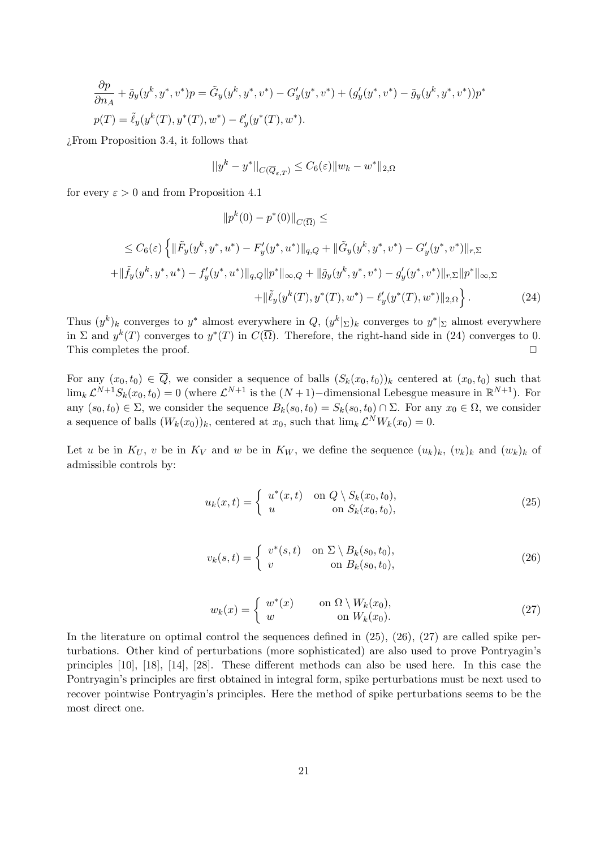$$
\frac{\partial p}{\partial n_A} + \tilde{g}_y(y^k, y^*, v^*)p = \tilde{G}_y(y^k, y^*, v^*) - G'_y(y^*, v^*) + (g'_y(y^*, v^*) - \tilde{g}_y(y^k, y^*, v^*))p^*
$$
  

$$
p(T) = \tilde{\ell}_y(y^k(T), y^*(T), w^*) - \ell'_y(y^*(T), w^*).
$$

¿From Proposition 3.4, it follows that

$$
||y^k - y^*||_{C(\overline{Q}_{\varepsilon,T})} \leq C_6(\varepsilon) ||w_k - w^*||_{2,\Omega}
$$

for every  $\varepsilon > 0$  and from Proposition 4.1

$$
||p^k(0)-p^*(0)||_{C(\overline{\Omega})}\leq
$$

$$
\leq C_6(\varepsilon) \left\{ \|\tilde{F}_y(y^k, y^*, u^*) - F'_y(y^*, u^*)\|_{q,Q} + \|\tilde{G}_y(y^k, y^*, v^*) - G'_y(y^*, v^*)\|_{r,\Sigma} \right\}+\|\tilde{f}_y(y^k, y^*, u^*) - f'_y(y^*, u^*)\|_{q,Q} \|p^*\|_{\infty,Q} + \|\tilde{g}_y(y^k, y^*, v^*) - g'_y(y^*, v^*)\|_{r,\Sigma} \|p^*\|_{\infty,\Sigma} +\|\tilde{\ell}_y(y^k(T), y^*(T), w^*) - \ell'_y(y^*(T), w^*)\|_{2,\Omega} \right\}.
$$
 (24)

Thus  $(y^k)_k$  converges to  $y^*$  almost everywhere in  $Q, (y^k|_{\Sigma})_k$  converges to  $y^*|_{\Sigma}$  almost everywhere in  $\Sigma$  and  $y^k(T)$  converges to  $y^*(T)$  in  $C(\overline{\Omega})$ . Therefore, the right-hand side in (24) converges to 0. This completes the proof.  $\Box$ 

For any  $(x_0, t_0) \in Q$ , we consider a sequence of balls  $(S_k(x_0, t_0))_k$  centered at  $(x_0, t_0)$  such that  $\lim_k \mathcal{L}^{N+1} S_k(x_0, t_0) = 0$  (where  $\mathcal{L}^{N+1}$  is the  $(N+1)$ -dimensional Lebesgue measure in  $\mathbb{R}^{N+1}$ ). For any  $(s_0, t_0) \in \Sigma$ , we consider the sequence  $B_k(s_0, t_0) = S_k(s_0, t_0) \cap \Sigma$ . For any  $x_0 \in \Omega$ , we consider a sequence of balls  $(W_k(x_0))_k$ , centered at  $x_0$ , such that  $\lim_k \mathcal{L}^N W_k(x_0) = 0$ .

Let u be in  $K_U$ , v be in  $K_V$  and w be in  $K_W$ , we define the sequence  $(u_k)_k$ ,  $(v_k)_k$  and  $(w_k)_k$  of admissible controls by:

$$
u_k(x,t) = \begin{cases} u^*(x,t) & \text{on } Q \setminus S_k(x_0,t_0), \\ u & \text{on } S_k(x_0,t_0), \end{cases}
$$
(25)

$$
v_k(s,t) = \begin{cases} v^*(s,t) & \text{on } \Sigma \setminus B_k(s_0,t_0), \\ v & \text{on } B_k(s_0,t_0), \end{cases}
$$
(26)

$$
w_k(x) = \begin{cases} w^*(x) & \text{on } \Omega \setminus W_k(x_0), \\ w & \text{on } W_k(x_0). \end{cases}
$$
 (27)

In the literature on optimal control the sequences defined in  $(25)$ ,  $(26)$ ,  $(27)$  are called spike perturbations. Other kind of perturbations (more sophisticated) are also used to prove Pontryagin's principles [10], [18], [14], [28]. These different methods can also be used here. In this case the Pontryagin's principles are first obtained in integral form, spike perturbations must be next used to recover pointwise Pontryagin's principles. Here the method of spike perturbations seems to be the most direct one.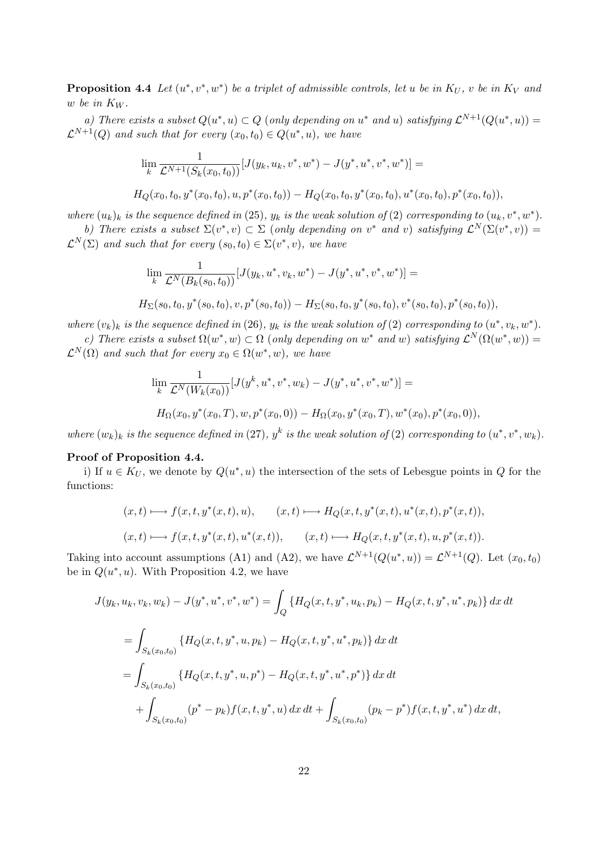**Proposition 4.4** Let  $(u^*, v^*, w^*)$  be a triplet of admissible controls, let u be in  $K_U$ , v be in  $K_V$  and w be in  $K_W$ .

a) There exists a subset  $Q(u^*, u) \subset Q$  (only depending on  $u^*$  and u) satisfying  $\mathcal{L}^{N+1}(Q(u^*, u)) =$  $\mathcal{L}^{N+1}(Q)$  and such that for every  $(x_0,t_0) \in Q(u^*,u)$ , we have

$$
\lim_{k} \frac{1}{\mathcal{L}^{N+1}(S_k(x_0, t_0))} [J(y_k, u_k, v^*, w^*) - J(y^*, u^*, v^*, w^*)] =
$$
  

$$
H_Q(x_0, t_0, y^*(x_0, t_0), u, p^*(x_0, t_0)) - H_Q(x_0, t_0, y^*(x_0, t_0), u^*(x_0, t_0), p^*(x_0, t_0)),
$$

where  $(u_k)_k$  is the sequence defined in (25),  $y_k$  is the weak solution of (2) corresponding to  $(u_k, v^*, w^*)$ . b) There exists a subset  $\Sigma(v^*, v) \subset \Sigma$  (only depending on  $v^*$  and v) satisfying  $\mathcal{L}^N(\Sigma(v^*, v)) =$ 

 $\mathcal{L}^N(\Sigma)$  and such that for every  $(s_0, t_0) \in \Sigma(v^*, v)$ , we have

$$
\lim_k \frac{1}{\mathcal{L}^N(B_k(s_0,t_0))} [J(y_k,u^*,v_k,w^*) - J(y^*,u^*,v^*,w^*)] =
$$

$$
H_{\Sigma}(s_0,t_0,y^*(s_0,t_0),v,p^*(s_0,t_0))-H_{\Sigma}(s_0,t_0,y^*(s_0,t_0),v^*(s_0,t_0),p^*(s_0,t_0)),
$$

where  $(v_k)_k$  is the sequence defined in (26),  $y_k$  is the weak solution of (2) corresponding to  $(u^*, v_k, w^*)$ .

c) There exists a subset  $\Omega(w^*, w) \subset \Omega$  (only depending on w<sup>\*</sup> and w) satisfying  $\mathcal{L}^N(\Omega(w^*, w)) =$  $\mathcal{L}^N(\Omega)$  and such that for every  $x_0 \in \Omega(w^*, w)$ , we have

$$
\lim_{k} \frac{1}{\mathcal{L}^{N}(W_{k}(x_{0}))} [J(y^{k}, u^{*}, v^{*}, w_{k}) - J(y^{*}, u^{*}, v^{*}, w^{*})] =
$$
  

$$
H_{\Omega}(x_{0}, y^{*}(x_{0}, T), w, p^{*}(x_{0}, 0)) - H_{\Omega}(x_{0}, y^{*}(x_{0}, T), w^{*}(x_{0}), p^{*}(x_{0}, 0)),
$$

where  $(w_k)_k$  is the sequence defined in (27),  $y^k$  is the weak solution of (2) corresponding to  $(u^*, v^*, w_k)$ .

#### Proof of Proposition 4.4.

i) If  $u \in K_U$ , we denote by  $Q(u^*, u)$  the intersection of the sets of Lebesgue points in Q for the functions:

$$
(x,t) \longmapsto f(x,t,y^*(x,t),u), \qquad (x,t) \longmapsto H_Q(x,t,y^*(x,t),u^*(x,t),p^*(x,t)),
$$
  

$$
(x,t) \longmapsto f(x,t,y^*(x,t),u^*(x,t)), \qquad (x,t) \longmapsto H_Q(x,t,y^*(x,t),u,p^*(x,t)).
$$

Taking into account assumptions (A1) and (A2), we have  $\mathcal{L}^{N+1}(Q(u^*, u)) = \mathcal{L}^{N+1}(Q)$ . Let  $(x_0, t_0)$ be in  $Q(u^*, u)$ . With Proposition 4.2, we have

$$
J(y_k, u_k, v_k, w_k) - J(y^*, u^*, v^*, w^*) = \int_Q \{ H_Q(x, t, y^*, u_k, p_k) - H_Q(x, t, y^*, u^*, p_k) \} dx dt
$$
  
= 
$$
\int_{S_k(x_0, t_0)} \{ H_Q(x, t, y^*, u, p_k) - H_Q(x, t, y^*, u^*, p_k) \} dx dt
$$
  
= 
$$
\int_{S_k(x_0, t_0)} \{ H_Q(x, t, y^*, u, p^*) - H_Q(x, t, y^*, u^*, p^*) \} dx dt
$$
  
+ 
$$
\int_{S_k(x_0, t_0)} (p^* - p_k) f(x, t, y^*, u) dx dt + \int_{S_k(x_0, t_0)} (p_k - p^*) f(x, t, y^*, u^*) dx dt,
$$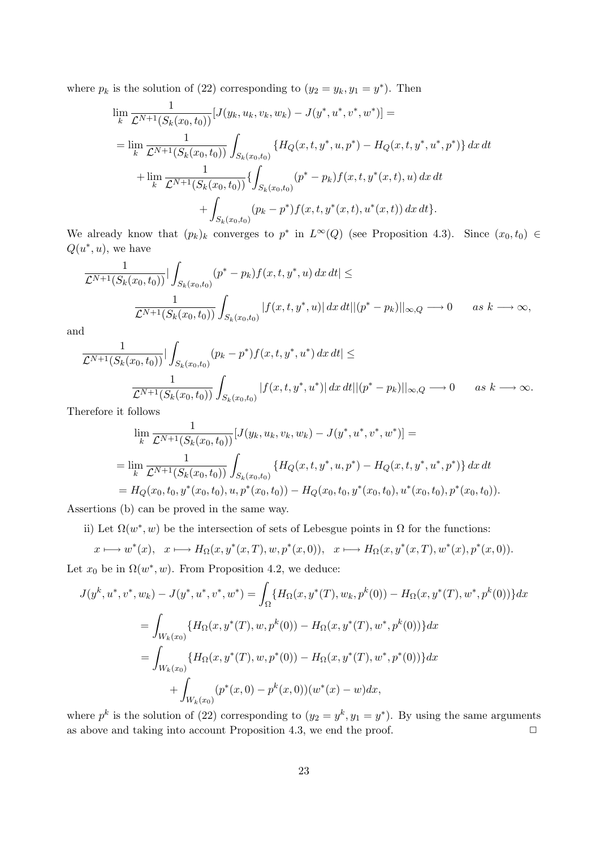where  $p_k$  is the solution of (22) corresponding to  $(y_2 = y_k, y_1 = y^*)$ . Then

$$
\lim_{k} \frac{1}{\mathcal{L}^{N+1}(S_k(x_0, t_0))} [J(y_k, u_k, v_k, w_k) - J(y^*, u^*, v^*, w^*)] =
$$
\n
$$
= \lim_{k} \frac{1}{\mathcal{L}^{N+1}(S_k(x_0, t_0))} \int_{S_k(x_0, t_0)} \{H_Q(x, t, y^*, u, p^*) - H_Q(x, t, y^*, u^*, p^*)\} dx dt
$$
\n
$$
+ \lim_{k} \frac{1}{\mathcal{L}^{N+1}(S_k(x_0, t_0))} \{ \int_{S_k(x_0, t_0)} (p^* - p_k) f(x, t, y^*(x, t), u) dx dt
$$
\n
$$
+ \int_{S_k(x_0, t_0)} (p_k - p^*) f(x, t, y^*(x, t), u^*(x, t)) dx dt \}.
$$

We already know that  $(p_k)_k$  converges to  $p^*$  in  $L^{\infty}(Q)$  (see Proposition 4.3). Since  $(x_0, t_0) \in$  $Q(u^*, u)$ , we have

$$
\frac{1}{\mathcal{L}^{N+1}(S_k(x_0, t_0))} |\int_{S_k(x_0, t_0)} (p^* - p_k) f(x, t, y^*, u) dx dt| \le
$$
  

$$
\frac{1}{\mathcal{L}^{N+1}(S_k(x_0, t_0))} \int_{S_k(x_0, t_0)} |f(x, t, y^*, u)| dx dt ||(p^* - p_k)||_{\infty, Q} \longrightarrow 0 \quad as \ k \longrightarrow \infty,
$$

and

$$
\frac{1}{\mathcal{L}^{N+1}(S_k(x_0, t_0))} |\int_{S_k(x_0, t_0)} (p_k - p^*) f(x, t, y^*, u^*) dx dt| \le
$$
  

$$
\frac{1}{\mathcal{L}^{N+1}(S_k(x_0, t_0))} \int_{S_k(x_0, t_0)} |f(x, t, y^*, u^*)| dx dt ||(p^* - p_k)||_{\infty, Q} \longrightarrow 0 \quad as \ k \longrightarrow \infty.
$$

Therefore it follows

$$
\lim_{k} \frac{1}{\mathcal{L}^{N+1}(S_k(x_0, t_0))} [J(y_k, u_k, v_k, w_k) - J(y^*, u^*, v^*, w^*)] =
$$
\n
$$
= \lim_{k} \frac{1}{\mathcal{L}^{N+1}(S_k(x_0, t_0))} \int_{S_k(x_0, t_0)} \{H_Q(x, t, y^*, u, p^*) - H_Q(x, t, y^*, u^*, p^*)\} dx dt
$$
\n
$$
= H_Q(x_0, t_0, y^*(x_0, t_0), u, p^*(x_0, t_0)) - H_Q(x_0, t_0, y^*(x_0, t_0), u^*(x_0, t_0), p^*(x_0, t_0)).
$$

Assertions (b) can be proved in the same way.

ii) Let  $\Omega(w^*, w)$  be the intersection of sets of Lebesgue points in  $\Omega$  for the functions:

$$
x \longmapsto w^*(x), \quad x \longmapsto H_{\Omega}(x, y^*(x, T), w, p^*(x, 0)), \quad x \longmapsto H_{\Omega}(x, y^*(x, T), w^*(x), p^*(x, 0)).
$$
  
Let  $x_0$  be in  $\Omega(w^*, w)$ . From Proposition 4.2, we deduce:

$$
J(y^k, u^*, v^*, w_k) - J(y^*, u^*, v^*, w^*) = \int_{\Omega} \{ H_{\Omega}(x, y^*(T), w_k, p^k(0)) - H_{\Omega}(x, y^*(T), w^*, p^k(0)) \} dx
$$
  

$$
= \int_{W_k(x_0)} \{ H_{\Omega}(x, y^*(T), w, p^k(0)) - H_{\Omega}(x, y^*(T), w^*, p^k(0)) \} dx
$$
  

$$
= \int_{W_k(x_0)} \{ H_{\Omega}(x, y^*(T), w, p^*(0)) - H_{\Omega}(x, y^*(T), w^*, p^*(0)) \} dx
$$
  

$$
+ \int_{W_k(x_0)} (p^*(x, 0) - p^k(x, 0)) (w^*(x) - w) dx,
$$

where  $p^k$  is the solution of (22) corresponding to  $(y_2 = y^k, y_1 = y^*)$ . By using the same arguments as above and taking into account Proposition 4.3, we end the proof.  $\square$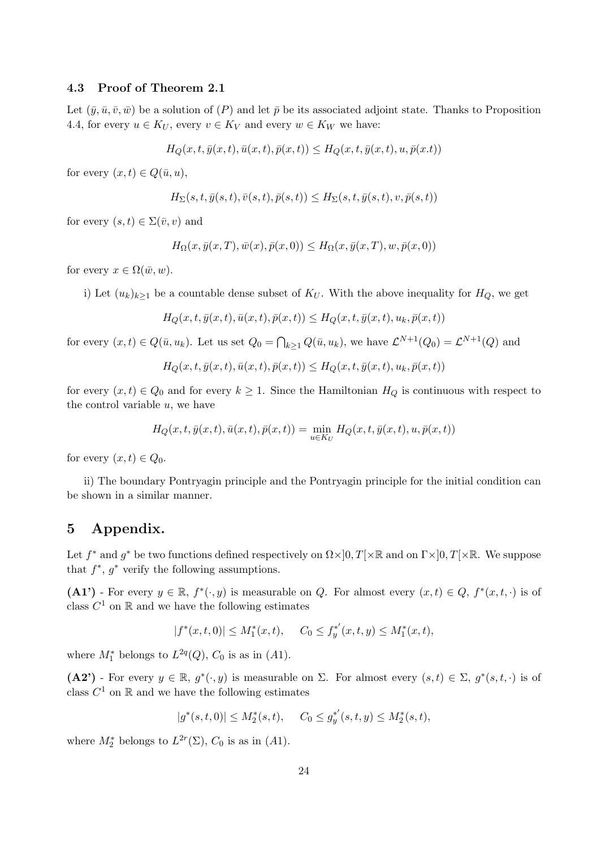#### 4.3 Proof of Theorem 2.1

Let  $(\bar{y}, \bar{u}, \bar{v}, \bar{w})$  be a solution of  $(P)$  and let  $\bar{p}$  be its associated adjoint state. Thanks to Proposition 4.4, for every  $u \in K_U$ , every  $v \in K_V$  and every  $w \in K_W$  we have:

$$
H_Q(x, t, \bar{y}(x, t), \bar{u}(x, t), \bar{p}(x, t)) \leq H_Q(x, t, \bar{y}(x, t), u, \bar{p}(x, t))
$$

for every  $(x, t) \in Q(\bar{u}, u)$ ,

$$
H_{\Sigma}(s,t,\bar{y}(s,t),\bar{v}(s,t),\bar{p}(s,t))\leq H_{\Sigma}(s,t,\bar{y}(s,t),v,\bar{p}(s,t))
$$

for every  $(s, t) \in \Sigma(\bar{v}, v)$  and

$$
H_{\Omega}(x,\bar{y}(x,T),\bar{w}(x),\bar{p}(x,0)) \leq H_{\Omega}(x,\bar{y}(x,T),w,\bar{p}(x,0))
$$

for every  $x \in \Omega(\bar{w}, w)$ .

i) Let  $(u_k)_{k\geq 1}$  be a countable dense subset of  $K_U$ . With the above inequality for  $H_Q$ , we get

$$
H_Q(x, t, \bar{y}(x, t), \bar{u}(x, t), \bar{p}(x, t)) \leq H_Q(x, t, \bar{y}(x, t), u_k, \bar{p}(x, t))
$$

for every  $(x,t) \in Q(\bar{u},u_k)$ . Let us set  $Q_0 = \bigcap_{k \geq 1} Q(\bar{u},u_k)$ , we have  $\mathcal{L}^{N+1}(Q_0) = \mathcal{L}^{N+1}(Q)$  and

$$
H_Q(x, t, \bar{y}(x, t), \bar{u}(x, t), \bar{p}(x, t)) \leq H_Q(x, t, \bar{y}(x, t), u_k, \bar{p}(x, t))
$$

for every  $(x, t) \in Q_0$  and for every  $k \geq 1$ . Since the Hamiltonian  $H_Q$  is continuous with respect to the control variable  $u$ , we have

$$
H_Q(x,t,\bar{y}(x,t),\bar{u}(x,t),\bar{p}(x,t))=\min_{u\in K_U}H_Q(x,t,\bar{y}(x,t),u,\bar{p}(x,t))
$$

for every  $(x, t) \in Q_0$ .

ii) The boundary Pontryagin principle and the Pontryagin principle for the initial condition can be shown in a similar manner.

# 5 Appendix.

Let  $f^*$  and  $g^*$  be two functions defined respectively on  $\Omega \times ]0, T[ \times \mathbb{R}$  and on  $\Gamma \times ]0, T[ \times \mathbb{R}$ . We suppose that  $f^*$ ,  $g^*$  verify the following assumptions.

(A1') - For every  $y \in \mathbb{R}$ ,  $f^*(\cdot, y)$  is measurable on Q. For almost every  $(x, t) \in Q$ ,  $f^*(x, t, \cdot)$  is of class  $C^1$  on  $\mathbb R$  and we have the following estimates

$$
|f^*(x,t,0)| \le M_1^*(x,t), \quad C_0 \le f_y^{*'}(x,t,y) \le M_1^*(x,t),
$$

where  $M_1^*$  belongs to  $L^{2q}(Q)$ ,  $C_0$  is as in (A1).

 $(A2')$  - For every  $y \in \mathbb{R}$ ,  $g^*(\cdot, y)$  is measurable on  $\Sigma$ . For almost every  $(s,t) \in \Sigma$ ,  $g^*(s,t,\cdot)$  is of class  $C^1$  on  $\mathbb R$  and we have the following estimates

$$
|g^*(s,t,0)| \le M_2^*(s,t), \quad C_0 \le g_y^{*'}(s,t,y) \le M_2^*(s,t),
$$

where  $M_2^*$  belongs to  $L^{2r}(\Sigma)$ ,  $C_0$  is as in (A1).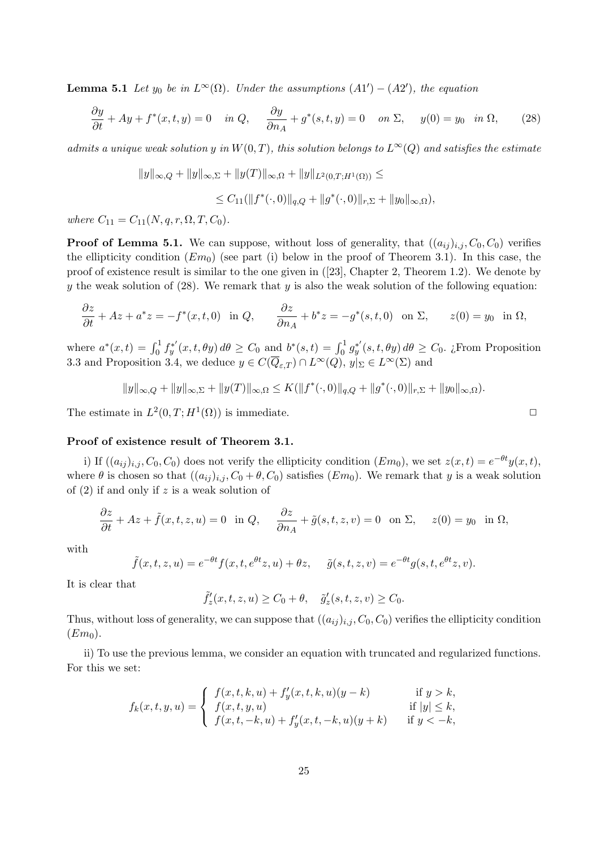**Lemma 5.1** Let  $y_0$  be in  $L^{\infty}(\Omega)$ . Under the assumptions  $(A1') - (A2')$ , the equation

$$
\frac{\partial y}{\partial t} + Ay + f^*(x, t, y) = 0 \quad \text{in } Q, \quad \frac{\partial y}{\partial n_A} + g^*(s, t, y) = 0 \quad \text{on } \Sigma, \quad y(0) = y_0 \quad \text{in } \Omega,\tag{28}
$$

admits a unique weak solution y in  $W(0,T)$ , this solution belongs to  $L^{\infty}(Q)$  and satisfies the estimate

$$
||y||_{\infty,Q} + ||y||_{\infty,\Sigma} + ||y(T)||_{\infty,\Omega} + ||y||_{L^2(0,T;H^1(\Omega))} \le
$$

$$
\leq C_{11}(\|f^*(\cdot,0)\|_{q,Q}+\|g^*(\cdot,0)\|_{r,\Sigma}+\|y_0\|_{\infty,\Omega}),
$$

where  $C_{11} = C_{11}(N, q, r, \Omega, T, C_0)$ .

**Proof of Lemma 5.1.** We can suppose, without loss of generality, that  $((a_{ij})_{i,j}, C_0, C_0)$  verifies the ellipticity condition  $(Em_0)$  (see part (i) below in the proof of Theorem 3.1). In this case, the proof of existence result is similar to the one given in ([23], Chapter 2, Theorem 1.2). We denote by y the weak solution of  $(28)$ . We remark that y is also the weak solution of the following equation:

$$
\frac{\partial z}{\partial t} + Az + a^*z = -f^*(x, t, 0) \quad \text{in } Q, \qquad \frac{\partial z}{\partial n_A} + b^*z = -g^*(s, t, 0) \quad \text{on } \Sigma, \qquad z(0) = y_0 \quad \text{in } \Omega,
$$

where  $a^*(x,t) = \int_0^1 f_y^{*'}(x,t,\theta y) d\theta \ge C_0$  and  $b^*(s,t) = \int_0^1 g_y^{*'}(s,t,\theta y) d\theta \ge C_0$ . ¿From Proposition 3.3 and Proposition 3.4, we deduce  $y \in C(\overline{Q}_{\varepsilon,T}) \cap L^{\infty}(Q)$ ,  $y|_{\Sigma} \in L^{\infty}(\Sigma)$  and

$$
||y||_{\infty,Q} + ||y||_{\infty,\Sigma} + ||y(T)||_{\infty,\Omega} \le K(||f^*(\cdot,0)||_{q,Q} + ||g^*(\cdot,0)||_{r,\Sigma} + ||y_0||_{\infty,\Omega}).
$$

The estimate in  $L^2(0,T;H^1(\Omega))$  is immediate.

#### Proof of existence result of Theorem 3.1.

i) If  $((a_{ij})_{i,j}, C_0, C_0)$  does not verify the ellipticity condition  $(Em_0)$ , we set  $z(x,t) = e^{-\theta t}y(x,t)$ , where  $\theta$  is chosen so that  $((a_{ij})_{i,j}, C_0 + \theta, C_0)$  satisfies  $(Em_0)$ . We remark that y is a weak solution of  $(2)$  if and only if z is a weak solution of

$$
\frac{\partial z}{\partial t} + Az + \tilde{f}(x, t, z, u) = 0 \text{ in } Q, \quad \frac{\partial z}{\partial n_A} + \tilde{g}(s, t, z, v) = 0 \text{ on } \Sigma, \quad z(0) = y_0 \text{ in } \Omega,
$$

with

$$
\tilde{f}(x,t,z,u) = e^{-\theta t} f(x,t,e^{\theta t}z,u) + \theta z, \quad \tilde{g}(s,t,z,v) = e^{-\theta t} g(s,t,e^{\theta t}z,v).
$$

It is clear that

$$
\tilde{f}'_z(x,t,z,u) \ge C_0 + \theta, \quad \tilde{g}'_z(s,t,z,v) \ge C_0.
$$

Thus, without loss of generality, we can suppose that  $((a_{ij})_{i,j}, C_0, C_0)$  verifies the ellipticity condition  $(Em<sub>0</sub>)$ .

ii) To use the previous lemma, we consider an equation with truncated and regularized functions. For this we set:

$$
f_k(x, t, y, u) = \begin{cases} f(x, t, k, u) + f'_y(x, t, k, u)(y - k) & \text{if } y > k, \\ f(x, t, y, u) & \text{if } |y| \le k, \\ f(x, t, -k, u) + f'_y(x, t, -k, u)(y + k) & \text{if } y < -k, \end{cases}
$$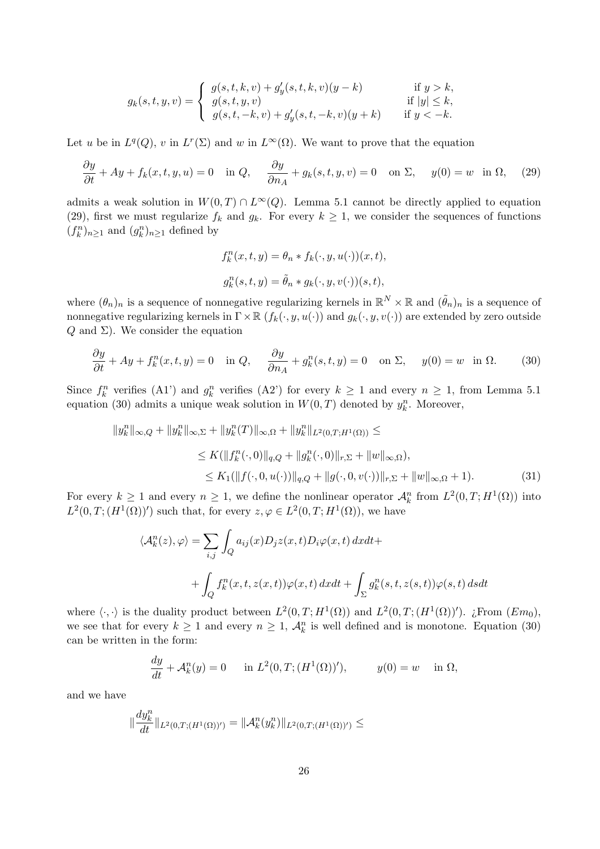$$
g_k(s, t, y, v) = \begin{cases} g(s, t, k, v) + g'_y(s, t, k, v)(y - k) & \text{if } y > k, \\ g(s, t, y, v) & \text{if } |y| \le k, \\ g(s, t, -k, v) + g'_y(s, t, -k, v)(y + k) & \text{if } y < -k. \end{cases}
$$

Let u be in  $L^q(Q)$ , v in  $L^r(\Sigma)$  and w in  $L^{\infty}(\Omega)$ . We want to prove that the equation

$$
\frac{\partial y}{\partial t} + Ay + f_k(x, t, y, u) = 0 \quad \text{in } Q, \quad \frac{\partial y}{\partial n_A} + g_k(s, t, y, v) = 0 \quad \text{on } \Sigma, \quad y(0) = w \quad \text{in } \Omega, \tag{29}
$$

admits a weak solution in  $W(0,T) \cap L^{\infty}(Q)$ . Lemma 5.1 cannot be directly applied to equation (29), first we must regularize  $f_k$  and  $g_k$ . For every  $k \geq 1$ , we consider the sequences of functions  $(f_k^n)_{n\geq 1}$  and  $(g_k^n)_{n\geq 1}$  defined by

$$
f_k^n(x, t, y) = \theta_n * f_k(\cdot, y, u(\cdot))(x, t),
$$
  

$$
g_k^n(s, t, y) = \tilde{\theta}_n * g_k(\cdot, y, v(\cdot))(s, t),
$$

where  $(\theta_n)_n$  is a sequence of nonnegative regularizing kernels in  $\mathbb{R}^N \times \mathbb{R}$  and  $(\tilde{\theta}_n)_n$  is a sequence of nonnegative regularizing kernels in  $\Gamma \times \mathbb{R}$   $(f_k(\cdot, y, u(\cdot))$  and  $g_k(\cdot, y, v(\cdot))$  are extended by zero outside  $Q$  and  $\Sigma$ ). We consider the equation

$$
\frac{\partial y}{\partial t} + Ay + f_k^n(x, t, y) = 0 \quad \text{in } Q, \quad \frac{\partial y}{\partial n_A} + g_k^n(s, t, y) = 0 \quad \text{on } \Sigma, \quad y(0) = w \quad \text{in } \Omega. \tag{30}
$$

Since  $f_k^n$  verifies (A1') and  $g_k^n$  verifies (A2') for every  $k \ge 1$  and every  $n \ge 1$ , from Lemma 5.1 equation (30) admits a unique weak solution in  $W(0,T)$  denoted by  $y_k^n$ . Moreover,

$$
||y_k^n||_{\infty,Q} + ||y_k^n||_{\infty,\Sigma} + ||y_k^n(T)||_{\infty,\Omega} + ||y_k^n||_{L^2(0,T;H^1(\Omega))} \le
$$
  
\n
$$
\leq K(||f_k^n(\cdot,0)||_{q,Q} + ||g_k^n(\cdot,0)||_{r,\Sigma} + ||w||_{\infty,\Omega}),
$$
  
\n
$$
\leq K_1(||f(\cdot,0,u(\cdot))||_{q,Q} + ||g(\cdot,0,v(\cdot))||_{r,\Sigma} + ||w||_{\infty,\Omega} + 1).
$$
\n(31)

For every  $k \geq 1$  and every  $n \geq 1$ , we define the nonlinear operator  $\mathcal{A}_k^n$  from  $L^2(0,T;H^1(\Omega))$  into  $L^2(0,T;(H^1(\Omega))')$  such that, for every  $z,\varphi\in L^2(0,T;H^1(\Omega))$ , we have

$$
\langle \mathcal{A}_k^n(z), \varphi \rangle = \sum_{i,j} \int_Q a_{ij}(x) D_j z(x,t) D_i \varphi(x,t) dx dt +
$$
  
+ 
$$
\int_Q f_k^n(x,t,z(x,t)) \varphi(x,t) dx dt + \int_{\Sigma} g_k^n(s,t,z(s,t)) \varphi(s,t) ds dt
$$

where  $\langle \cdot, \cdot \rangle$  is the duality product between  $L^2(0,T;H^1(\Omega))$  and  $L^2(0,T;(H^1(\Omega))')$ . ¿From  $(Em_0)$ , we see that for every  $k \geq 1$  and every  $n \geq 1$ ,  $\mathcal{A}_k^n$  is well defined and is monotone. Equation (30) can be written in the form:

$$
\frac{dy}{dt} + \mathcal{A}_k^n(y) = 0 \quad \text{in } L^2(0, T; (H^1(\Omega))'), \qquad y(0) = w \quad \text{in } \Omega,
$$

and we have

$$
\|\frac{dy_k^n}{dt}\|_{L^2(0,T;(H^1(\Omega))')}=\|\mathcal{A}_k^n(y_k^n)\|_{L^2(0,T;(H^1(\Omega))')}\leq
$$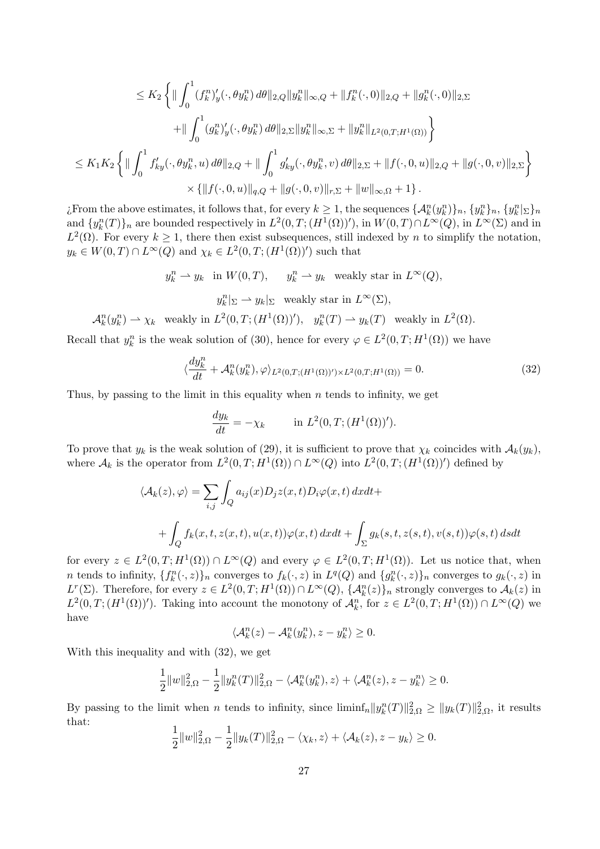$$
\leq K_2 \left\{ \|\int_0^1 (f_k^n)'_y(\cdot,\theta y_k^n) d\theta\|_{2,Q} \|y_k^n\|_{\infty,Q} + \|f_k^n(\cdot,0)\|_{2,Q} + \|g_k^n(\cdot,0)\|_{2,\Sigma} \right.\n+ \|\int_0^1 (g_k^n)'_y(\cdot,\theta y_k^n) d\theta\|_{2,\Sigma} \|y_k^n\|_{\infty,\Sigma} + \|y_k^n\|_{L^2(0,T;H^1(\Omega))} \right\}\n\leq K_1 K_2 \left\{ \|\int_0^1 f_{ky}'(\cdot,\theta y_k^n, u) d\theta\|_{2,Q} + \|\int_0^1 g_{ky}'(\cdot,\theta y_k^n, v) d\theta\|_{2,\Sigma} + \|f(\cdot,0,u)\|_{2,Q} + \|g(\cdot,0,v)\|_{2,\Sigma} \right\}\n\times \{ \|f(\cdot,0,u)\|_{q,Q} + \|g(\cdot,0,v)\|_{r,\Sigma} + \|w\|_{\infty,\Omega} + 1 \} .
$$

*i*. From the above estimates, it follows that, for every  $k \geq 1$ , the sequences  $\{\mathcal{A}_k^n(y_k^n)\}_n, \{y_k^n\}_n, \{y_k^n\}_n\}$ and  $\{y_k^n(T)\}_n$  are bounded respectively in  $L^2(0,T;(H^1(\Omega))')$ , in  $W(0,T)\cap L^{\infty}(Q)$ , in  $L^{\infty}(\Sigma)$  and in  $L^2(\Omega)$ . For every  $k \geq 1$ , there then exist subsequences, still indexed by n to simplify the notation,  $y_k \in W(0,T) \cap L^{\infty}(Q)$  and  $\chi_k \in L^2(0,T;(H^1(\Omega))')$  such that

$$
y_k^n \rightharpoonup y_k
$$
 in  $W(0,T)$ ,  $y_k^n \rightharpoonup y_k$  weakly star in  $L^{\infty}(Q)$ ,

 $y_k^n|_{\Sigma} \to y_k|_{\Sigma}$  weakly star in  $L^{\infty}(\Sigma)$ ,

$$
\mathcal{A}_k^n(y_k^n) \rightharpoonup \chi_k \quad \text{weakly in } L^2(0,T; (H^1(\Omega))'), \quad y_k^n(T) \rightharpoonup y_k(T) \quad \text{weakly in } L^2(\Omega).
$$

Recall that  $y_k^n$  is the weak solution of (30), hence for every  $\varphi \in L^2(0,T;H^1(\Omega))$  we have

$$
\langle \frac{dy_k^n}{dt} + \mathcal{A}_k^n(y_k^n), \varphi \rangle_{L^2(0,T;(H^1(\Omega))') \times L^2(0,T;H^1(\Omega))} = 0. \tag{32}
$$

Thus, by passing to the limit in this equality when  $n$  tends to infinity, we get

$$
\frac{dy_k}{dt} = -\chi_k \qquad \text{in } L^2(0, T; (H^1(\Omega))').
$$

To prove that  $y_k$  is the weak solution of (29), it is sufficient to prove that  $\chi_k$  coincides with  $\mathcal{A}_k(y_k)$ , where  $\mathcal{A}_k$  is the operator from  $L^2(0,T;H^1(\Omega)) \cap L^{\infty}(Q)$  into  $L^2(0,T;(H^1(\Omega))')$  defined by

$$
\langle \mathcal{A}_k(z), \varphi \rangle = \sum_{i,j} \int_Q a_{ij}(x) D_j z(x,t) D_i \varphi(x,t) dx dt +
$$
  
+ 
$$
\int_Q f_k(x,t,z(x,t),u(x,t)) \varphi(x,t) dx dt + \int_{\Sigma} g_k(s,t,z(s,t),v(s,t)) \varphi(s,t) ds dt
$$

for every  $z \in L^2(0,T;H^1(\Omega)) \cap L^{\infty}(Q)$  and every  $\varphi \in L^2(0,T;H^1(\Omega))$ . Let us notice that, when n tends to infinity,  $\{f_k^n(\cdot, z)\}_n$  converges to  $f_k(\cdot, z)$  in  $L^q(Q)$  and  $\{g_k^n(\cdot, z)\}_n$  converges to  $g_k(\cdot, z)$  in  $L^r(\Sigma)$ . Therefore, for every  $z \in L^2(0,T;H^1(\Omega)) \cap L^{\infty}(Q)$ ,  $\{\mathcal{A}_k^n(z)\}_n$  strongly converges to  $\mathcal{A}_k(z)$  in  $L^2(0,T;(H^1(\Omega))')$ . Taking into account the monotony of  $\mathcal{A}_k^n$ , for  $z \in L^2(0,T;H^1(\Omega)) \cap L^{\infty}(Q)$  we have

$$
\langle \mathcal{A}_k^n(z) - \mathcal{A}_k^n(y_k^n), z - y_k^n \rangle \ge 0.
$$

With this inequality and with (32), we get

$$
\frac{1}{2}||w||_{2,\Omega}^2 - \frac{1}{2}||y_k^n(T)||_{2,\Omega}^2 - \langle \mathcal{A}_k^n(y_k^n), z \rangle + \langle \mathcal{A}_k^n(z), z - y_k^n \rangle \ge 0.
$$

By passing to the limit when n tends to infinity, since  $\liminf_n ||y_k^n(T)||_{2,\Omega}^2 \ge ||y_k(T)||_{2,\Omega}^2$ , it results that:

$$
\frac{1}{2}||w||_{2,\Omega}^2 - \frac{1}{2}||y_k(T)||_{2,\Omega}^2 - \langle \chi_k, z \rangle + \langle \mathcal{A}_k(z), z - y_k \rangle \ge 0.
$$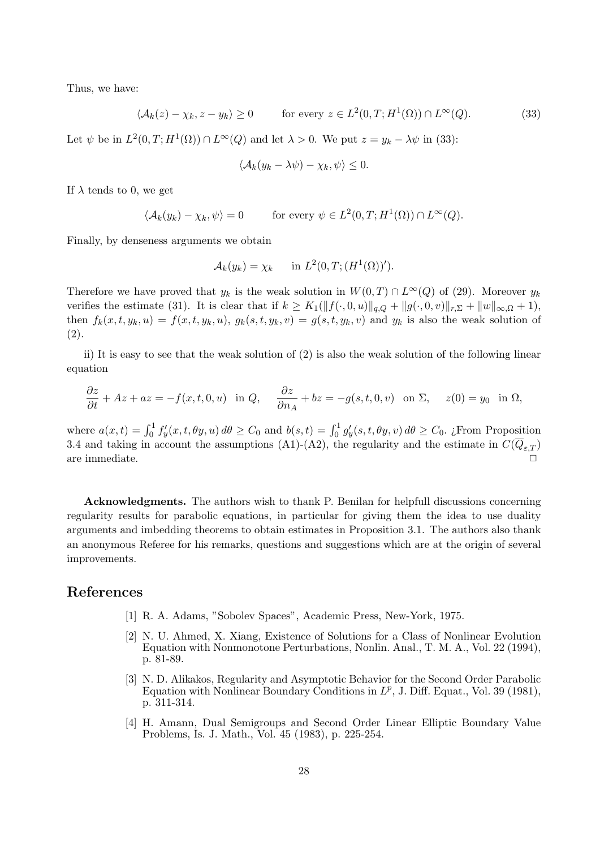Thus, we have:

$$
\langle \mathcal{A}_k(z) - \chi_k, z - y_k \rangle \ge 0 \qquad \text{for every } z \in L^2(0, T; H^1(\Omega)) \cap L^\infty(Q). \tag{33}
$$

Let  $\psi$  be in  $L^2(0,T;H^1(\Omega)) \cap L^{\infty}(Q)$  and let  $\lambda > 0$ . We put  $z = y_k - \lambda \psi$  in (33):

$$
\langle \mathcal{A}_k(y_k - \lambda \psi) - \chi_k, \psi \rangle \leq 0.
$$

If  $\lambda$  tends to 0, we get

$$
\langle \mathcal{A}_k(y_k) - \chi_k, \psi \rangle = 0 \quad \text{for every } \psi \in L^2(0, T; H^1(\Omega)) \cap L^{\infty}(Q).
$$

Finally, by denseness arguments we obtain

$$
\mathcal{A}_k(y_k) = \chi_k \quad \text{in } L^2(0,T;(H^1(\Omega))').
$$

Therefore we have proved that  $y_k$  is the weak solution in  $W(0,T) \cap L^{\infty}(Q)$  of (29). Moreover  $y_k$ verifies the estimate (31). It is clear that if  $k \geq K_1(||f(\cdot, 0, u)||_{q,Q} + ||g(\cdot, 0, v)||_{r,\Sigma} + ||w||_{\infty,\Omega} + 1)$ , then  $f_k(x, t, y_k, u) = f(x, t, y_k, u), g_k(s, t, y_k, v) = g(s, t, y_k, v)$  and  $y_k$  is also the weak solution of (2).

ii) It is easy to see that the weak solution of (2) is also the weak solution of the following linear equation

$$
\frac{\partial z}{\partial t} + Az + az = -f(x, t, 0, u) \text{ in } Q, \quad \frac{\partial z}{\partial n_A} + bz = -g(s, t, 0, v) \text{ on } \Sigma, \quad z(0) = y_0 \text{ in } \Omega,
$$

where  $a(x,t) = \int_0^1 f'_y(x,t,\theta y, u) d\theta \ge C_0$  and  $b(s,t) = \int_0^1 g'_y(s,t,\theta y, v) d\theta \ge C_0$ . ¿From Proposition 3.4 and taking in account the assumptions (A1)-(A2), the regularity and the estimate in  $C(\overline{Q}_{\varepsilon,T})$ are immediate.  $\Box$ 

Acknowledgments. The authors wish to thank P. Benilan for helpfull discussions concerning regularity results for parabolic equations, in particular for giving them the idea to use duality arguments and imbedding theorems to obtain estimates in Proposition 3.1. The authors also thank an anonymous Referee for his remarks, questions and suggestions which are at the origin of several improvements.

## References

- [1] R. A. Adams, "Sobolev Spaces", Academic Press, New-York, 1975.
- [2] N. U. Ahmed, X. Xiang, Existence of Solutions for a Class of Nonlinear Evolution Equation with Nonmonotone Perturbations, Nonlin. Anal., T. M. A., Vol. 22 (1994), p. 81-89.
- [3] N. D. Alikakos, Regularity and Asymptotic Behavior for the Second Order Parabolic Equation with Nonlinear Boundary Conditions in  $L^p$ , J. Diff. Equat., Vol. 39 (1981), p. 311-314.
- [4] H. Amann, Dual Semigroups and Second Order Linear Elliptic Boundary Value Problems, Is. J. Math., Vol. 45 (1983), p. 225-254.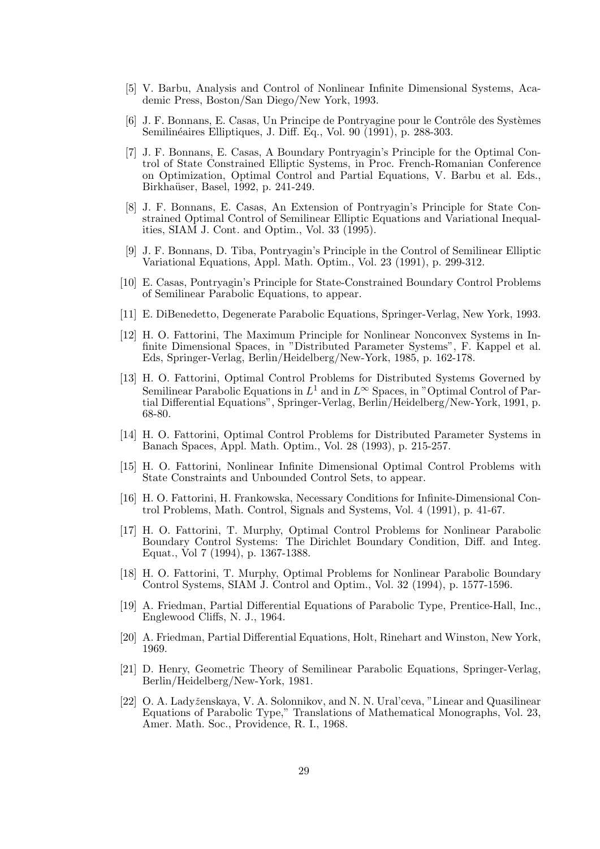- [5] V. Barbu, Analysis and Control of Nonlinear Infinite Dimensional Systems, Academic Press, Boston/San Diego/New York, 1993.
- [6] J. F. Bonnans, E. Casas, Un Principe de Pontryagine pour le Contrôle des Systèmes Semilinéaires Elliptiques, J. Diff. Eq., Vol. 90 (1991), p. 288-303.
- [7] J. F. Bonnans, E. Casas, A Boundary Pontryagin's Principle for the Optimal Control of State Constrained Elliptic Systems, in Proc. French-Romanian Conference on Optimization, Optimal Control and Partial Equations, V. Barbu et al. Eds., Birkhaüser, Basel, 1992, p. 241-249.
- [8] J. F. Bonnans, E. Casas, An Extension of Pontryagin's Principle for State Constrained Optimal Control of Semilinear Elliptic Equations and Variational Inequalities, SIAM J. Cont. and Optim., Vol. 33 (1995).
- [9] J. F. Bonnans, D. Tiba, Pontryagin's Principle in the Control of Semilinear Elliptic Variational Equations, Appl. Math. Optim., Vol. 23 (1991), p. 299-312.
- [10] E. Casas, Pontryagin's Principle for State-Constrained Boundary Control Problems of Semilinear Parabolic Equations, to appear.
- [11] E. DiBenedetto, Degenerate Parabolic Equations, Springer-Verlag, New York, 1993.
- [12] H. O. Fattorini, The Maximum Principle for Nonlinear Nonconvex Systems in Infinite Dimensional Spaces, in "Distributed Parameter Systems", F. Kappel et al. Eds, Springer-Verlag, Berlin/Heidelberg/New-York, 1985, p. 162-178.
- [13] H. O. Fattorini, Optimal Control Problems for Distributed Systems Governed by Semilinear Parabolic Equations in  $L^1$  and in  $L^{\infty}$  Spaces, in "Optimal Control of Partial Differential Equations", Springer-Verlag, Berlin/Heidelberg/New-York, 1991, p. 68-80.
- [14] H. O. Fattorini, Optimal Control Problems for Distributed Parameter Systems in Banach Spaces, Appl. Math. Optim., Vol. 28 (1993), p. 215-257.
- [15] H. O. Fattorini, Nonlinear Infinite Dimensional Optimal Control Problems with State Constraints and Unbounded Control Sets, to appear.
- [16] H. O. Fattorini, H. Frankowska, Necessary Conditions for Infinite-Dimensional Control Problems, Math. Control, Signals and Systems, Vol. 4 (1991), p. 41-67.
- [17] H. O. Fattorini, T. Murphy, Optimal Control Problems for Nonlinear Parabolic Boundary Control Systems: The Dirichlet Boundary Condition, Diff. and Integ. Equat., Vol 7 (1994), p. 1367-1388.
- [18] H. O. Fattorini, T. Murphy, Optimal Problems for Nonlinear Parabolic Boundary Control Systems, SIAM J. Control and Optim., Vol. 32 (1994), p. 1577-1596.
- [19] A. Friedman, Partial Differential Equations of Parabolic Type, Prentice-Hall, Inc., Englewood Cliffs, N. J., 1964.
- [20] A. Friedman, Partial Differential Equations, Holt, Rinehart and Winston, New York, 1969.
- [21] D. Henry, Geometric Theory of Semilinear Parabolic Equations, Springer-Verlag, Berlin/Heidelberg/New-York, 1981.
- [22] O. A. Ladyženskaya, V. A. Solonnikov, and N. N. Ural'ceva, "Linear and Quasilinear Equations of Parabolic Type," Translations of Mathematical Monographs, Vol. 23, Amer. Math. Soc., Providence, R. I., 1968.